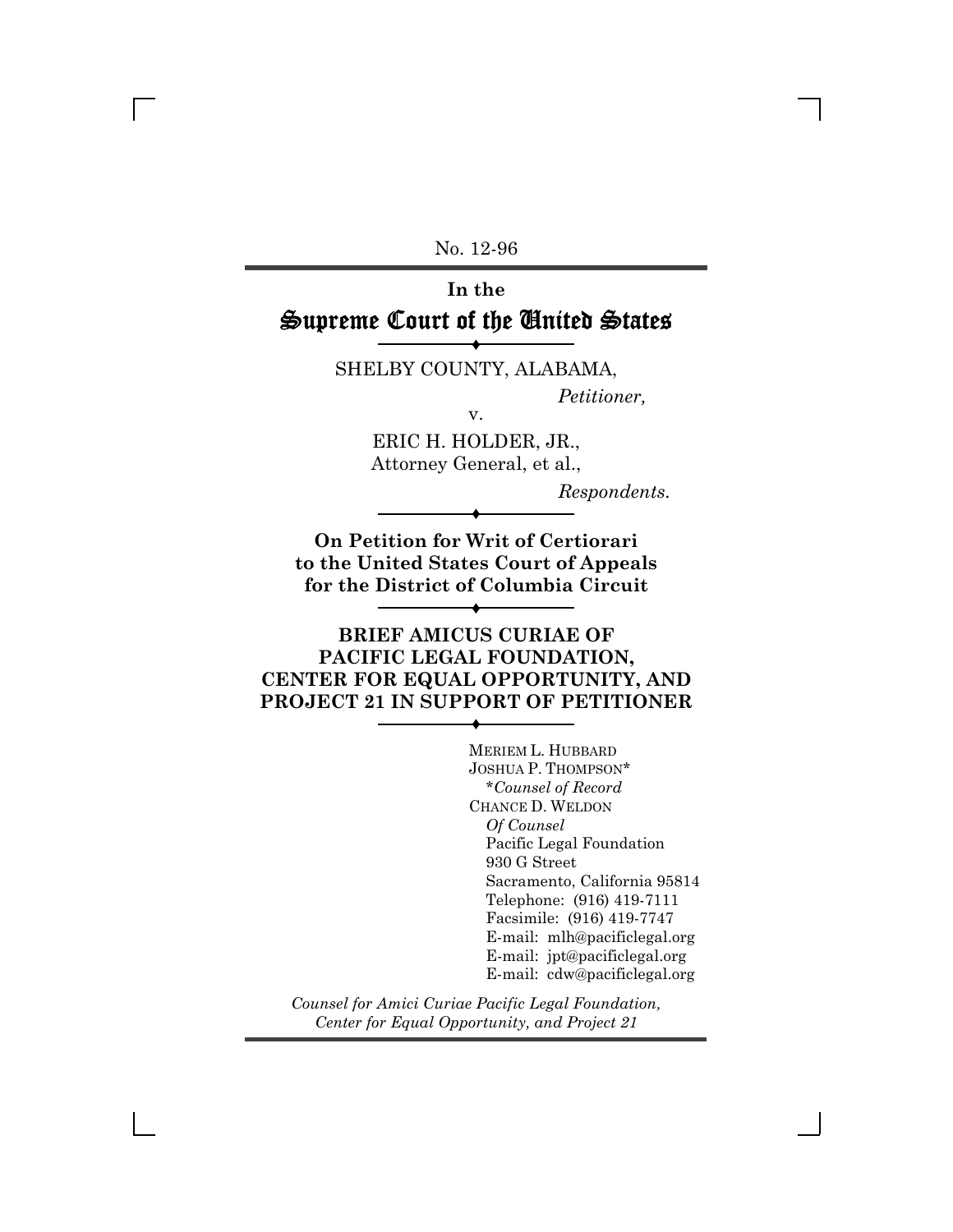No. 12-96

# **In the** Supreme Court of the United States

® SHELBY COUNTY, ALABAMA,

*Petitioner,*

ERIC H. HOLDER, JR., Attorney General, et al.,

v.

*Respondents.*

**On Petition for Writ of Certiorari to the United States Court of Appeals for the District of Columbia Circuit**

®

®

## **BRIEF AMICUS CURIAE OF PACIFIC LEGAL FOUNDATION, CENTER FOR EQUAL OPPORTUNITY, AND PROJECT 21 IN SUPPORT OF PETITIONER**

®

MERIEM L. HUBBARD JOSHUA P. THOMPSON\* \**Counsel of Record* CHANCE D. WELDON *Of Counsel* Pacific Legal Foundation 930 G Street Sacramento, California 95814 Telephone: (916) 419-7111 Facsimile: (916) 419-7747 E-mail: mlh@pacificlegal.org E-mail: jpt@pacificlegal.org E-mail: cdw@pacificlegal.org

*Counsel for Amici Curiae Pacific Legal Foundation, Center for Equal Opportunity, and Project 21*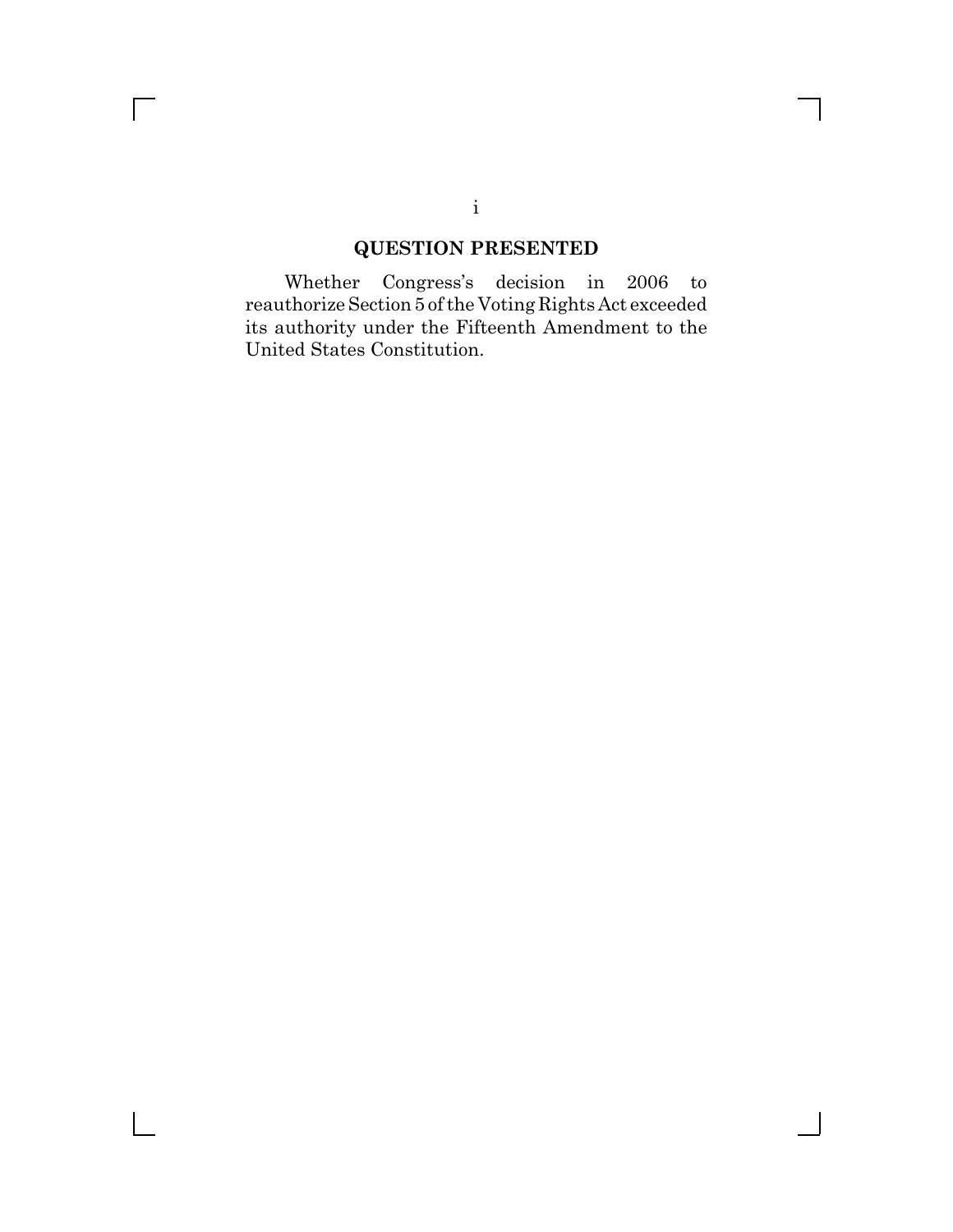# **QUESTION PRESENTED**

Whether Congress's decision in 2006 to reauthorize Section 5 of the Voting Rights Act exceeded its authority under the Fifteenth Amendment to the United States Constitution.

## i

 $\overline{\Gamma}$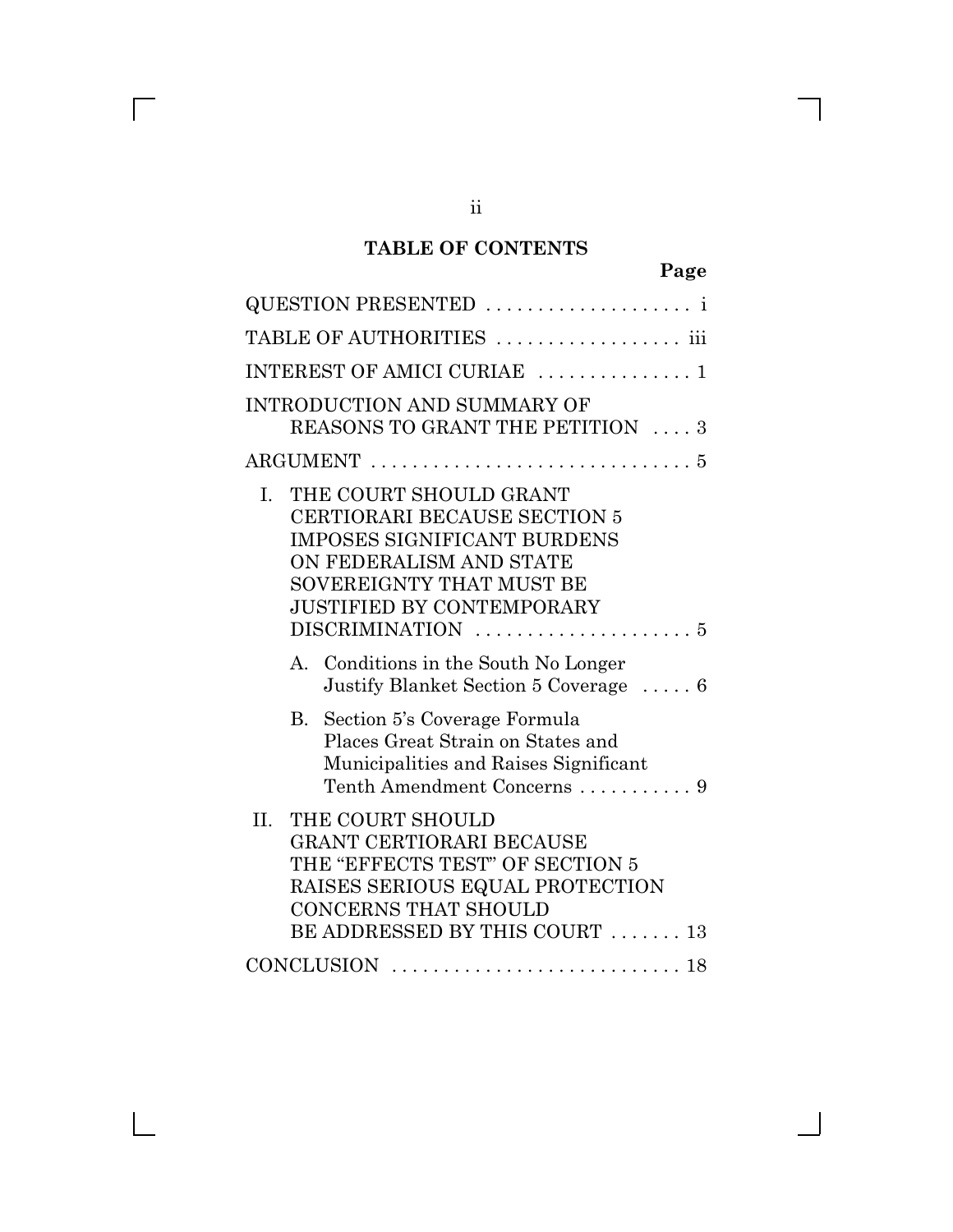# **TABLE OF CONTENTS**

| QUESTION PRESENTED                                                                                                                                                                                   |
|------------------------------------------------------------------------------------------------------------------------------------------------------------------------------------------------------|
| TABLE OF AUTHORITIES  iii                                                                                                                                                                            |
| INTEREST OF AMICI CURIAE  1                                                                                                                                                                          |
| <b>INTRODUCTION AND SUMMARY OF</b><br>REASONS TO GRANT THE PETITION  3                                                                                                                               |
|                                                                                                                                                                                                      |
| THE COURT SHOULD GRANT<br>I.<br><b>CERTIORARI BECAUSE SECTION 5</b><br><b>IMPOSES SIGNIFICANT BURDENS</b><br>ON FEDERALISM AND STATE<br>SOVEREIGNTY THAT MUST BE<br><b>JUSTIFIED BY CONTEMPORARY</b> |
| Conditions in the South No Longer<br>$\mathbf{A}$<br>Justify Blanket Section 5 Coverage  6                                                                                                           |
| B. Section 5's Coverage Formula<br>Places Great Strain on States and<br>Municipalities and Raises Significant<br>Tenth Amendment Concerns  9                                                         |
| $\prod$ .<br>THE COURT SHOULD<br>GRANT CERTIORARI BECAUSE<br>THE "EFFECTS TEST" OF SECTION 5<br>RAISES SERIOUS EQUAL PROTECTION<br><b>CONCERNS THAT SHOULD</b><br>BE ADDRESSED BY THIS COURT  13     |
| CONCLUSION $\ldots \ldots \ldots \ldots \ldots \ldots \ldots \ldots \ldots$                                                                                                                          |

ii

 $\overline{\Gamma}$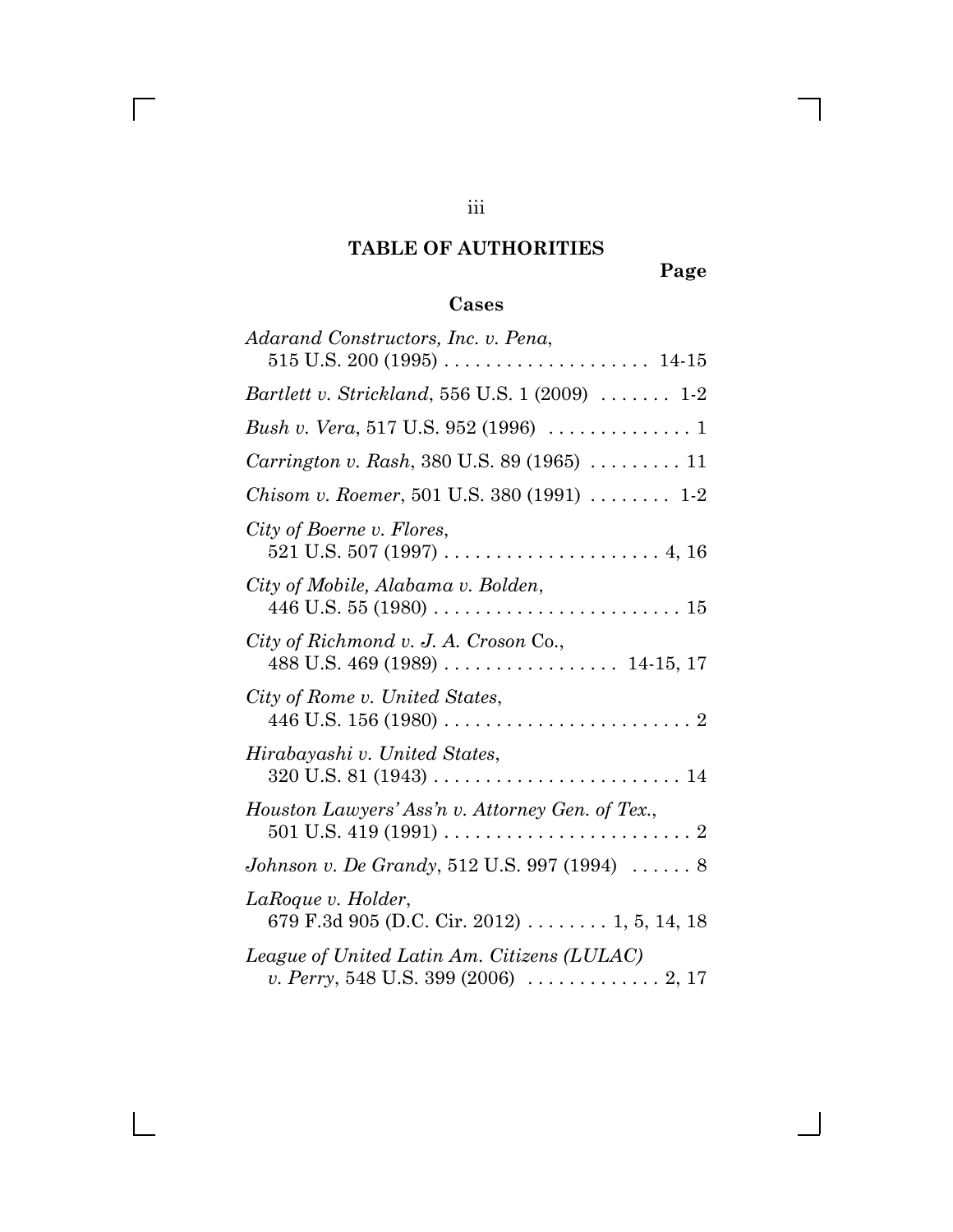# **TABLE OF AUTHORITIES**

**Page**

# **Cases**

| Adarand Constructors, Inc. v. Pena,                                                                              |
|------------------------------------------------------------------------------------------------------------------|
|                                                                                                                  |
| <i>Bartlett v. Strickland,</i> 556 U.S. 1 (2009)  1-2                                                            |
|                                                                                                                  |
| Carrington v. Rash, 380 U.S. 89 (1965)  11                                                                       |
| <i>Chisom v. Roemer</i> , 501 U.S. 380 $(1991)$ 1-2                                                              |
| City of Boerne v. Flores,                                                                                        |
| City of Mobile, Alabama v. Bolden,                                                                               |
| City of Richmond v. J. A. Croson Co.,                                                                            |
| City of Rome v. United States,                                                                                   |
| Hirabayashi v. United States,                                                                                    |
| Houston Lawyers' Ass'n v. Attorney Gen. of Tex.,                                                                 |
| <i>Johnson v. De Grandy</i> , 512 U.S. 997 (1994) $\ldots \ldots 8$                                              |
| LaRoque v. Holder,<br>679 F.3d 905 (D.C. Cir. 2012)  1, 5, 14, 18                                                |
| League of United Latin Am. Citizens (LULAC)<br>v. Perry, 548 U.S. 399 (2006) $\ldots \ldots \ldots \ldots 2, 17$ |

iii

 $\overline{\Gamma}$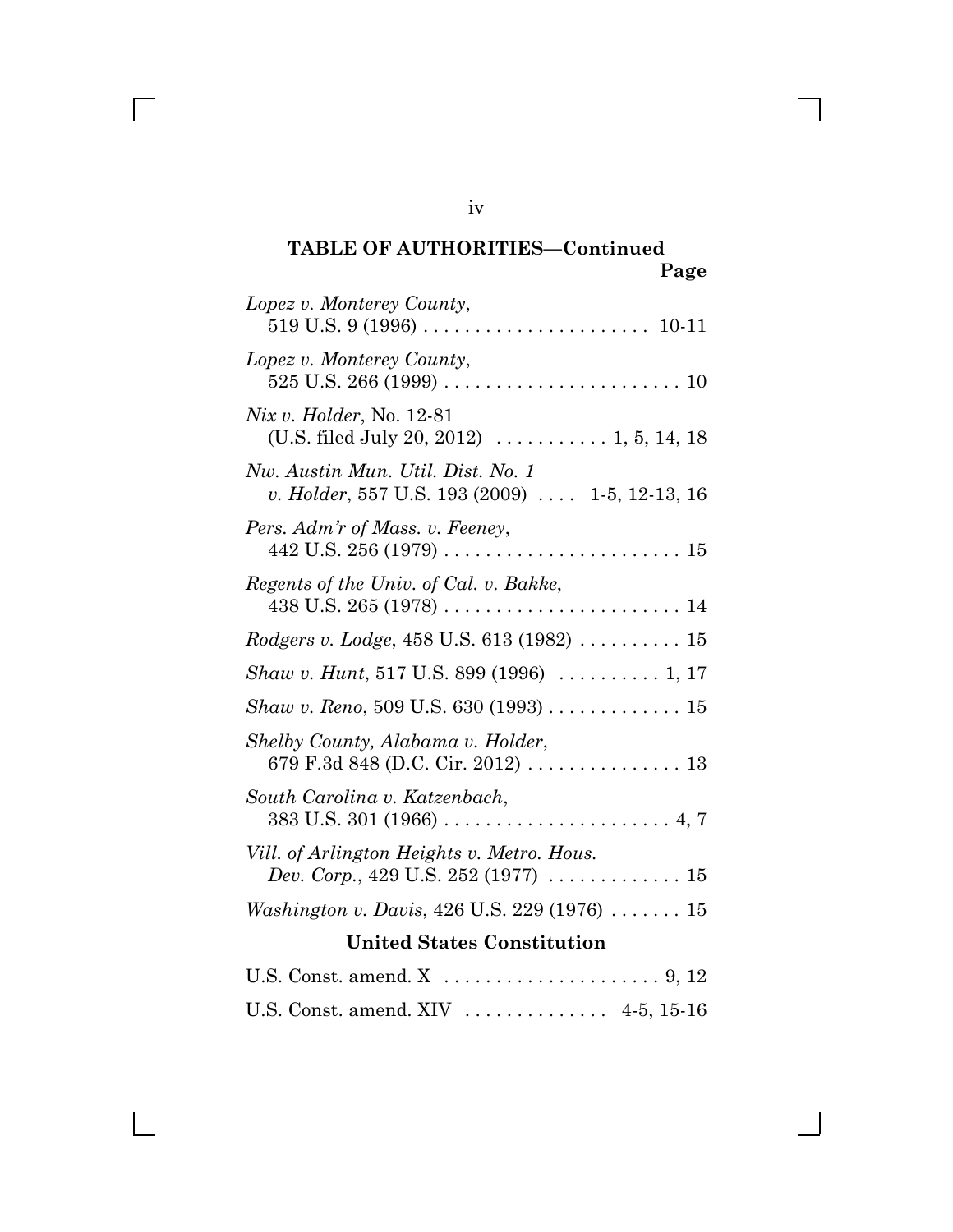iv

 $\sqrt{ }$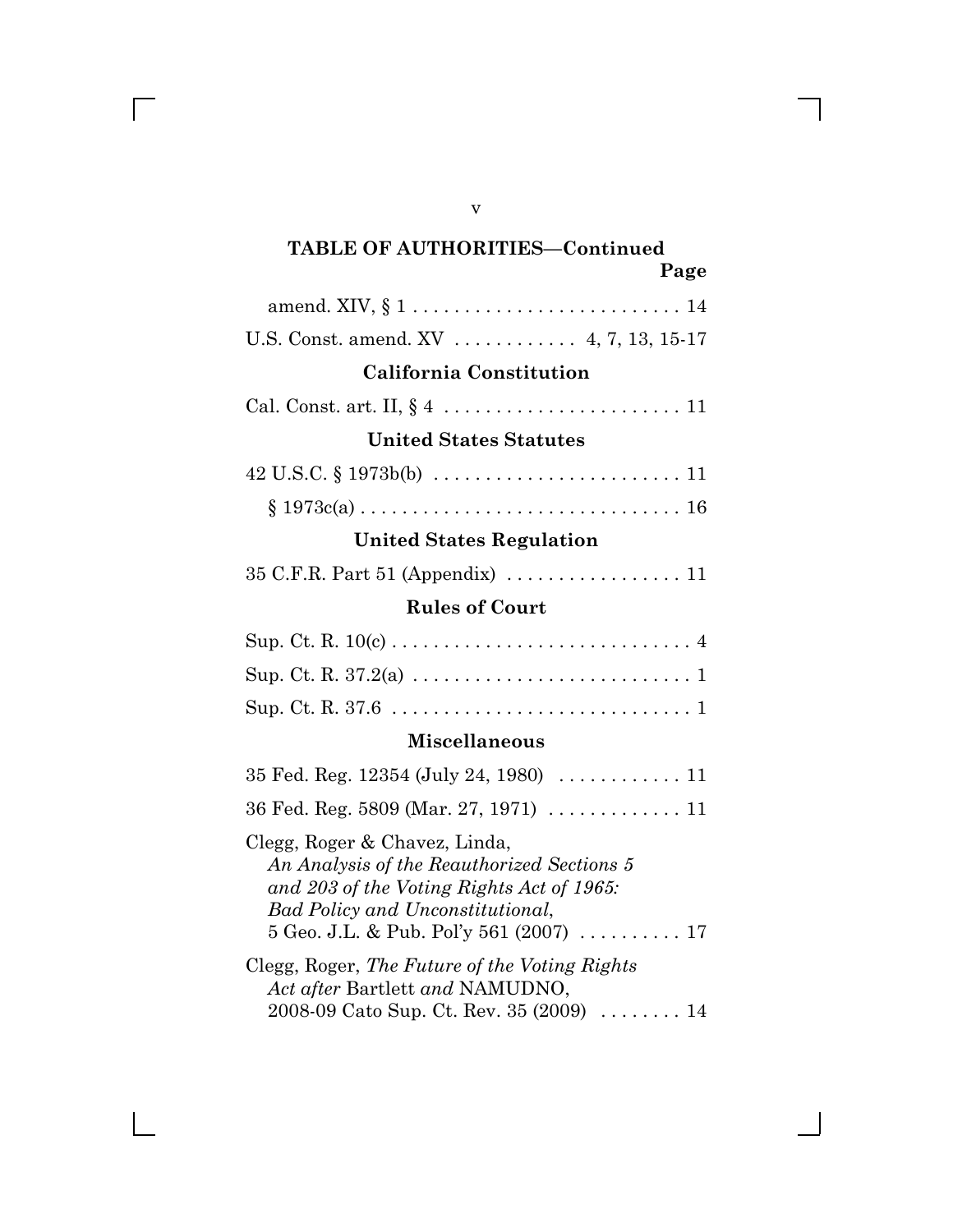| U.S. Const. amend. XV  4, 7, 13, 15-17                                                                                                                                                                  |
|---------------------------------------------------------------------------------------------------------------------------------------------------------------------------------------------------------|
| <b>California Constitution</b>                                                                                                                                                                          |
|                                                                                                                                                                                                         |
| <b>United States Statutes</b>                                                                                                                                                                           |
| $42 \text{ U.S.C.} \S 1973b(b) \ldots \ldots \ldots \ldots \ldots \ldots \ldots \ldots 11$                                                                                                              |
|                                                                                                                                                                                                         |
| <b>United States Regulation</b>                                                                                                                                                                         |
|                                                                                                                                                                                                         |
| <b>Rules of Court</b>                                                                                                                                                                                   |
|                                                                                                                                                                                                         |
|                                                                                                                                                                                                         |
|                                                                                                                                                                                                         |
| <b>Miscellaneous</b>                                                                                                                                                                                    |
| 35 Fed. Reg. 12354 (July 24, 1980)  11                                                                                                                                                                  |
|                                                                                                                                                                                                         |
| Clegg, Roger & Chavez, Linda,<br>An Analysis of the Reauthorized Sections 5<br>and 203 of the Voting Rights Act of 1965:<br>Bad Policy and Unconstitutional,<br>5 Geo. J.L. & Pub. Pol'y 561 (2007)  17 |
| Clegg, Roger, The Future of the Voting Rights<br>Act after Bartlett and NAMUDNO,<br>2008-09 Cato Sup. Ct. Rev. 35 (2009)  14                                                                            |

v

 $\overline{\Gamma}$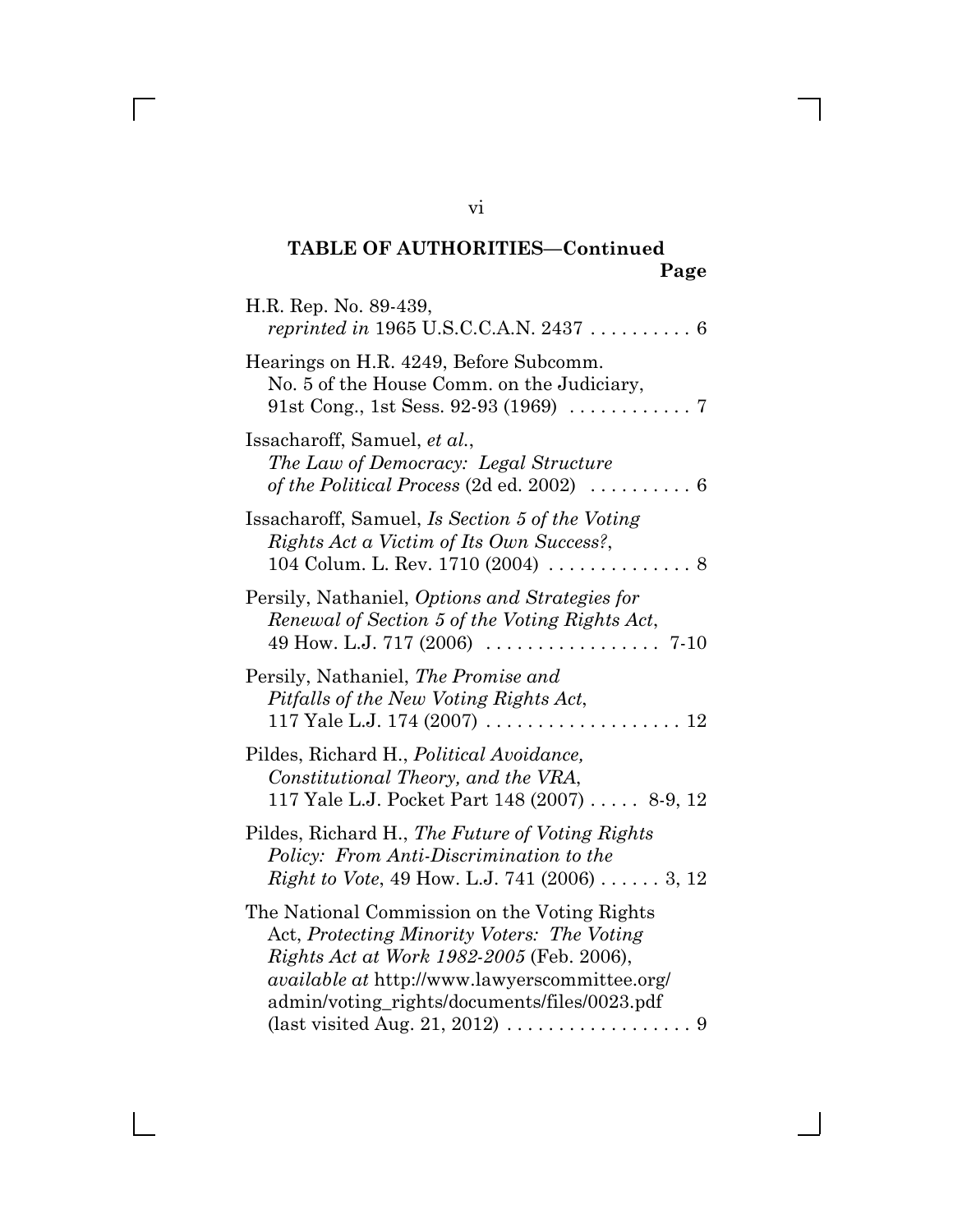| H.R. Rep. No. 89-439,                                                                                                                                                                                                                                                                                                 |
|-----------------------------------------------------------------------------------------------------------------------------------------------------------------------------------------------------------------------------------------------------------------------------------------------------------------------|
| Hearings on H.R. 4249, Before Subcomm.<br>No. 5 of the House Comm. on the Judiciary,<br>91st Cong., 1st Sess. 92-93 (1969) $\ldots \ldots \ldots \ldots$ 7                                                                                                                                                            |
| Issacharoff, Samuel, et al.,<br>The Law of Democracy: Legal Structure<br>of the Political Process (2d ed. 2002) $\ldots \ldots \ldots 6$                                                                                                                                                                              |
| Issacharoff, Samuel, Is Section 5 of the Voting<br>Rights Act a Victim of Its Own Success?,<br>104 Colum. L. Rev. 1710 (2004) $\ldots \ldots \ldots \ldots$ .                                                                                                                                                         |
| Persily, Nathaniel, Options and Strategies for<br>Renewal of Section 5 of the Voting Rights Act,                                                                                                                                                                                                                      |
| Persily, Nathaniel, The Promise and<br>Pitfalls of the New Voting Rights Act,                                                                                                                                                                                                                                         |
| Pildes, Richard H., Political Avoidance,<br>Constitutional Theory, and the VRA,<br>117 Yale L.J. Pocket Part 148 (2007)  8-9, 12                                                                                                                                                                                      |
| Pildes, Richard H., The Future of Voting Rights<br>Policy: From Anti-Discrimination to the<br><i>Right to Vote</i> , 49 How. L.J. 741 (2006) 3, 12                                                                                                                                                                    |
| The National Commission on the Voting Rights<br>Act, Protecting Minority Voters: The Voting<br>Rights Act at Work 1982-2005 (Feb. 2006),<br><i>available at http://www.lawyerscommittee.org/</i><br>admin/voting_rights/documents/files/0023.pdf<br>(last visited Aug. 21, 2012) $\ldots \ldots \ldots \ldots \ldots$ |

vi

 $\overline{\Gamma}$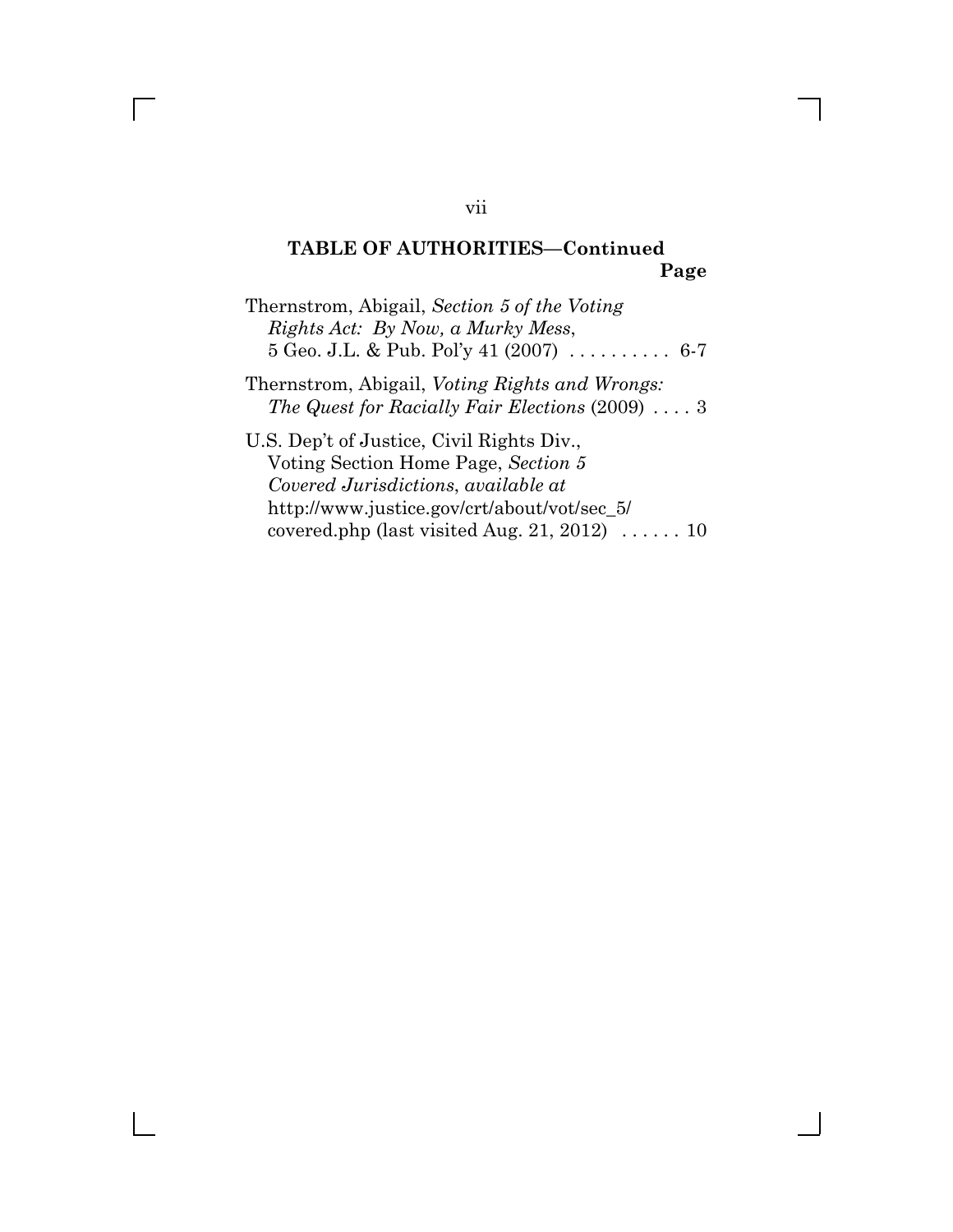Thernstrom, Abigail, *Section 5 of the Voting Rights Act: By Now, a Murky Mess*, 5 Geo. J.L. & Pub. Pol^y 41 (2007) . . . . . . . . . . 6-7

Thernstrom, Abigail, *Voting Rights and Wrongs: The Quest for Racially Fair Elections* (2009) ....3

U.S. Dep^t of Justice, Civil Rights Div., Voting Section Home Page, *Section 5 Covered Jurisdictions*, *available at* http://www.justice.gov/crt/about/vot/sec\_5/ covered.php (last visited Aug. 21, 2012) . . . . . . 10

vii

 $\Box$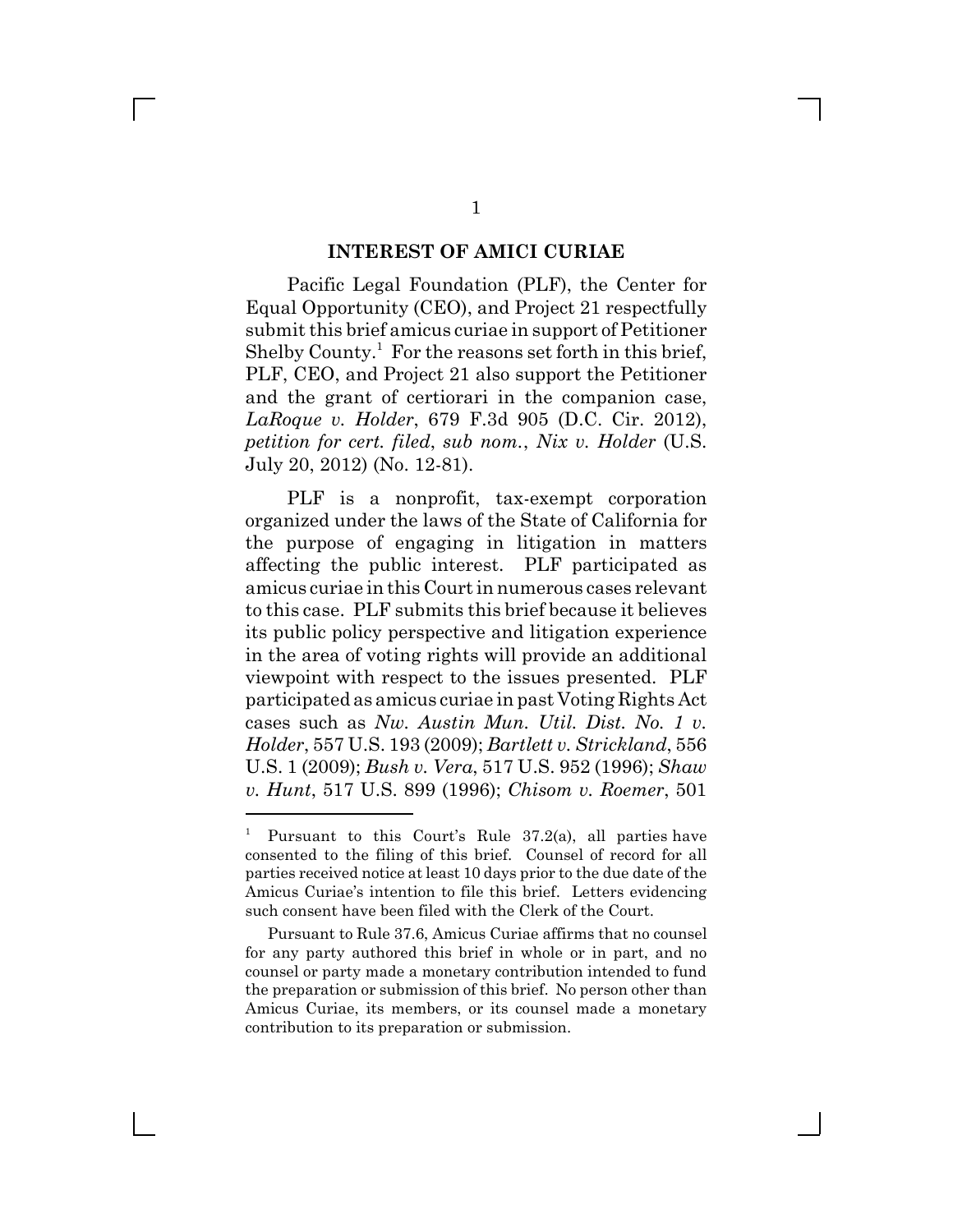#### **INTEREST OF AMICI CURIAE**

Pacific Legal Foundation (PLF), the Center for Equal Opportunity (CEO), and Project 21 respectfully submit this brief amicus curiae in support of Petitioner Shelby County.<sup>1</sup> For the reasons set forth in this brief, PLF, CEO, and Project 21 also support the Petitioner and the grant of certiorari in the companion case, *LaRoque v. Holder*, 679 F.3d 905 (D.C. Cir. 2012), *petition for cert. filed*, *sub nom.*, *Nix v. Holder* (U.S. July 20, 2012) (No. 12-81).

PLF is a nonprofit, tax-exempt corporation organized under the laws of the State of California for the purpose of engaging in litigation in matters affecting the public interest. PLF participated as amicus curiae in this Court in numerous cases relevant to this case. PLF submits this brief because it believes its public policy perspective and litigation experience in the area of voting rights will provide an additional viewpoint with respect to the issues presented. PLF participated as amicus curiae in past Voting Rights Act cases such as *Nw. Austin Mun. Util. Dist. No. 1 v. Holder*, 557 U.S. 193 (2009); *Bartlett v. Strickland*, 556 U.S. 1 (2009); *Bush v. Vera*, 517 U.S. 952 (1996); *Shaw v. Hunt*, 517 U.S. 899 (1996); *Chisom v. Roemer*, 501

<sup>1</sup> Pursuant to this Court's Rule 37.2(a), all parties have consented to the filing of this brief. Counsel of record for all parties received notice at least 10 days prior to the due date of the Amicus Curiae's intention to file this brief. Letters evidencing such consent have been filed with the Clerk of the Court.

Pursuant to Rule 37.6, Amicus Curiae affirms that no counsel for any party authored this brief in whole or in part, and no counsel or party made a monetary contribution intended to fund the preparation or submission of this brief. No person other than Amicus Curiae, its members, or its counsel made a monetary contribution to its preparation or submission.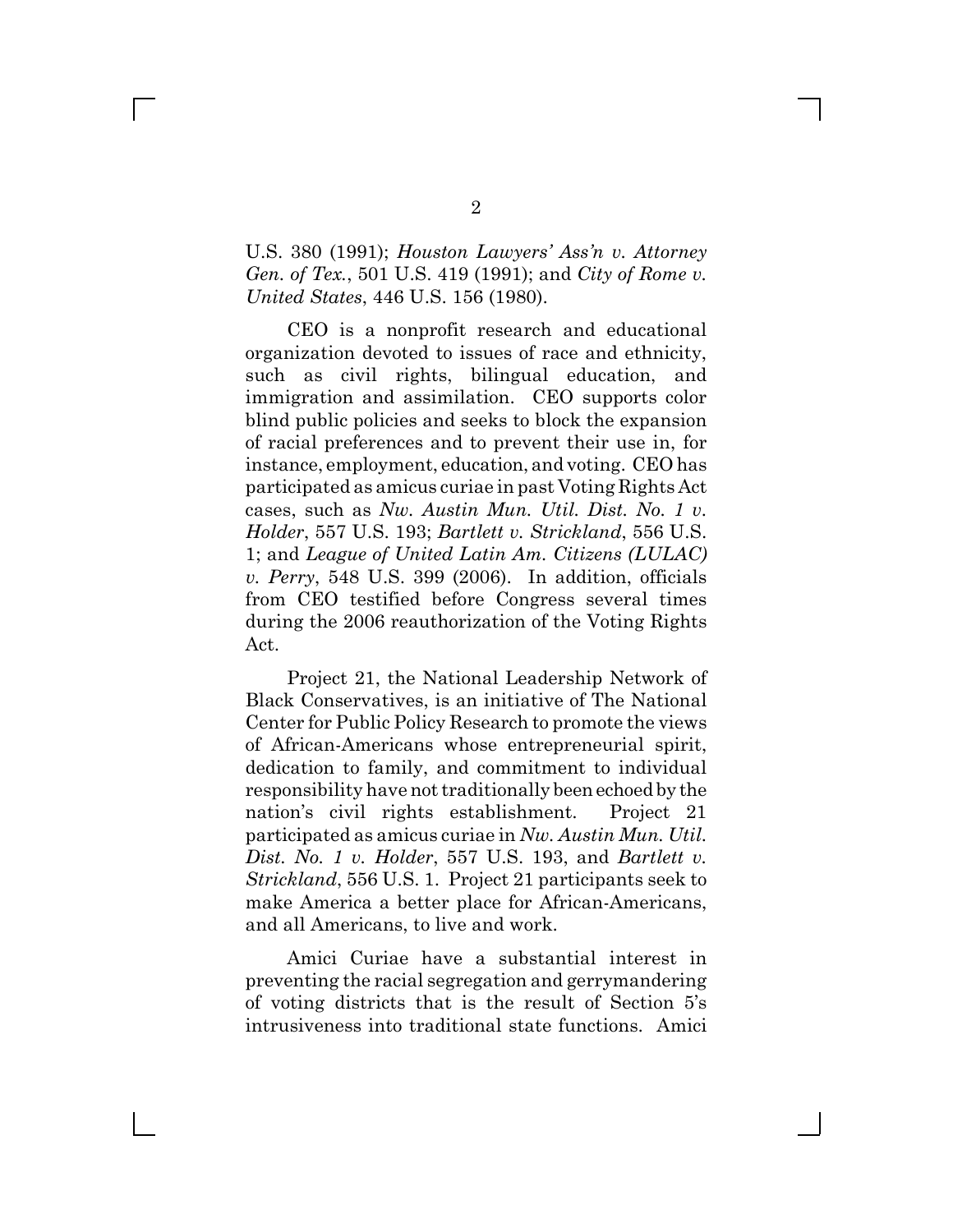U.S. 380 (1991); *Houston Lawyers' Ass'n v. Attorney Gen. of Tex.*, 501 U.S. 419 (1991); and *City of Rome v. United States*, 446 U.S. 156 (1980).

CEO is a nonprofit research and educational organization devoted to issues of race and ethnicity, such as civil rights, bilingual education, and immigration and assimilation. CEO supports color blind public policies and seeks to block the expansion of racial preferences and to prevent their use in, for instance, employment, education, and voting. CEO has participated as amicus curiae in past Voting Rights Act cases, such as *Nw. Austin Mun. Util. Dist. No. 1 v. Holder*, 557 U.S. 193; *Bartlett v. Strickland*, 556 U.S. 1; and *League of United Latin Am. Citizens (LULAC) v. Perry*, 548 U.S. 399 (2006). In addition, officials from CEO testified before Congress several times during the 2006 reauthorization of the Voting Rights Act.

Project 21, the National Leadership Network of Black Conservatives, is an initiative of The National Center for Public Policy Research to promote the views of African-Americans whose entrepreneurial spirit, dedication to family, and commitment to individual responsibility have not traditionally been echoed by the nation's civil rights establishment. Project 21 participated as amicus curiae in *Nw. Austin Mun. Util. Dist. No. 1 v. Holder*, 557 U.S. 193, and *Bartlett v. Strickland*, 556 U.S. 1. Project 21 participants seek to make America a better place for African-Americans, and all Americans, to live and work.

Amici Curiae have a substantial interest in preventing the racial segregation and gerrymandering of voting districts that is the result of Section 5^s intrusiveness into traditional state functions. Amici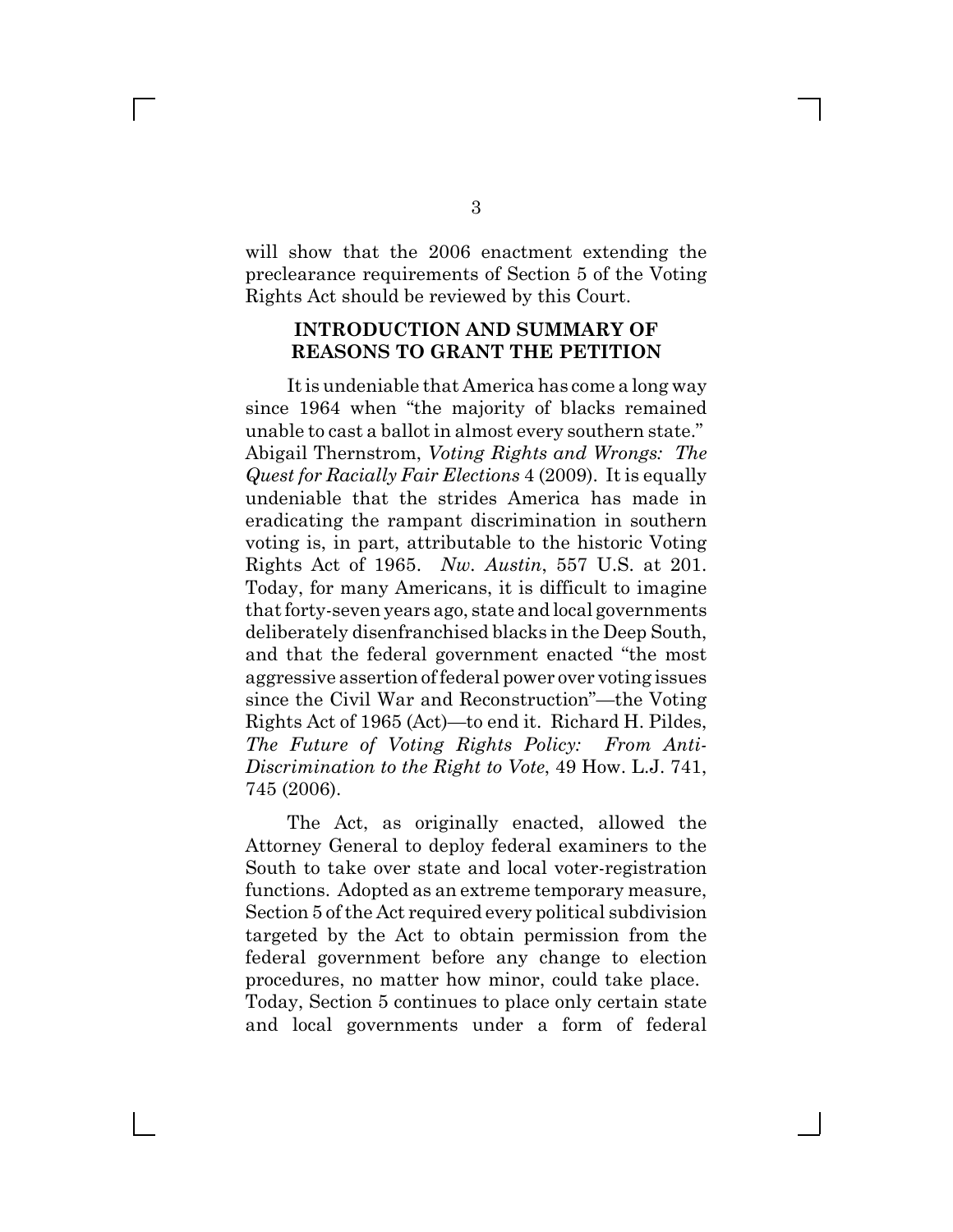will show that the 2006 enactment extending the preclearance requirements of Section 5 of the Voting Rights Act should be reviewed by this Court.

#### **INTRODUCTION AND SUMMARY OF REASONS TO GRANT THE PETITION**

It is undeniable that America has come a long way since 1964 when "the majority of blacks remained unable to cast a ballot in almost every southern state." Abigail Thernstrom, *Voting Rights and Wrongs: The Quest for Racially Fair Elections* 4 (2009). It is equally undeniable that the strides America has made in eradicating the rampant discrimination in southern voting is, in part, attributable to the historic Voting Rights Act of 1965. *Nw. Austin*, 557 U.S. at 201. Today, for many Americans, it is difficult to imagine that forty-seven years ago, state and local governments deliberately disenfranchised blacks in the Deep South, and that the federal government enacted "the most" aggressive assertion of federal power over voting issues since the Civil War and Reconstruction"—the Voting Rights Act of 1965 (Act)—to end it. Richard H. Pildes, *The Future of Voting Rights Policy: From Anti-Discrimination to the Right to Vote*, 49 How. L.J. 741, 745 (2006).

The Act, as originally enacted, allowed the Attorney General to deploy federal examiners to the South to take over state and local voter-registration functions. Adopted as an extreme temporary measure, Section 5 of the Act required every political subdivision targeted by the Act to obtain permission from the federal government before any change to election procedures, no matter how minor, could take place. Today, Section 5 continues to place only certain state and local governments under a form of federal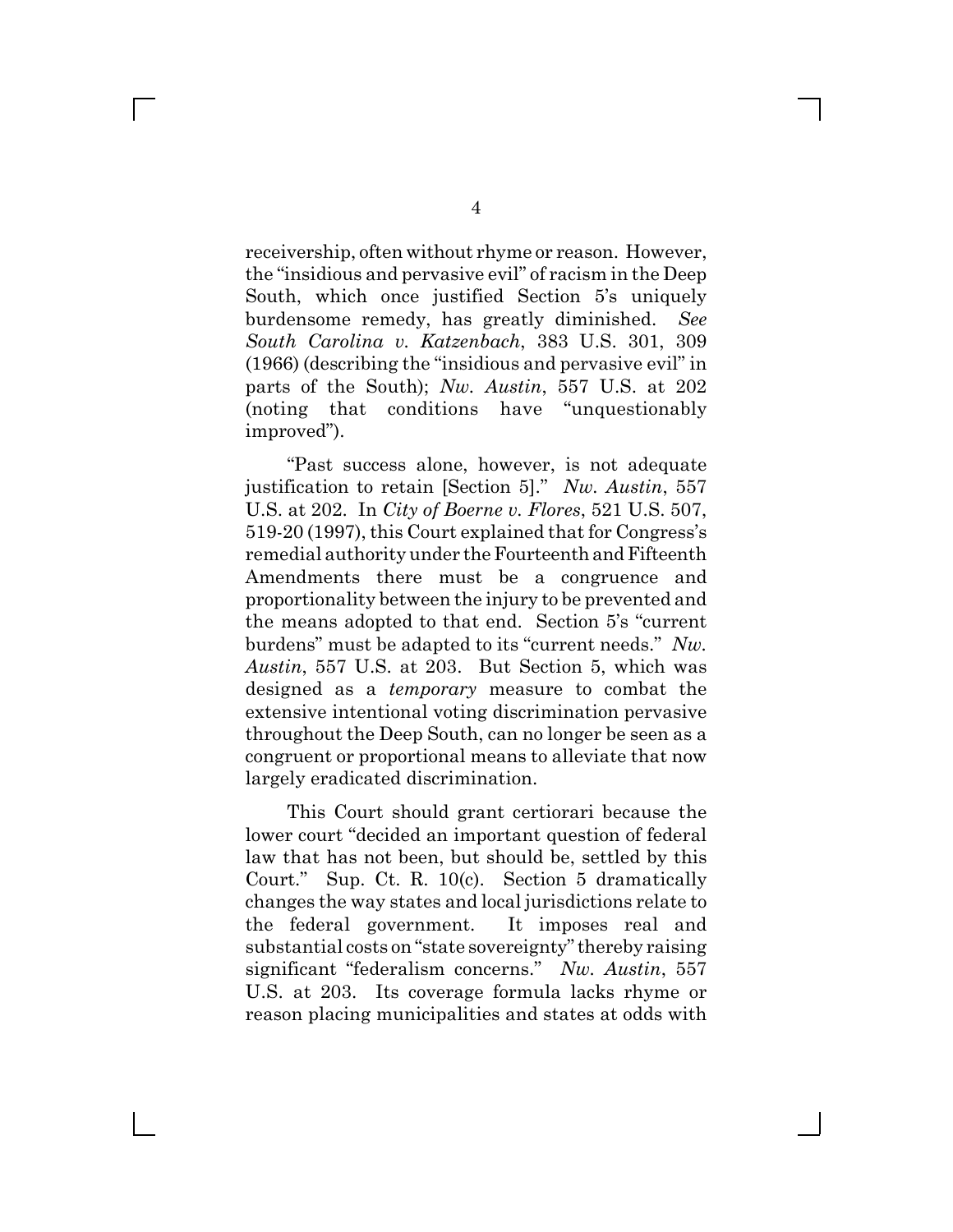receivership, often without rhyme or reason. However, the "insidious and pervasive evil" of racism in the Deep South, which once justified Section 5's uniquely burdensome remedy, has greatly diminished. *See South Carolina v. Katzenbach*, 383 U.S. 301, 309  $(1966)$  (describing the "insidious and pervasive evil" in parts of the South); *Nw. Austin*, 557 U.S. at 202 (noting that conditions have "unquestionably improved").

"Past success alone, however, is not adequate justification to retain [Section 5]." Nw. Austin, 557 U.S. at 202. In *City of Boerne v. Flores*, 521 U.S. 507, 519-20 (1997), this Court explained that for Congress^s remedial authority under the Fourteenth and Fifteenth Amendments there must be a congruence and proportionality between the injury to be prevented and the means adopted to that end. Section 5's "current burdens" must be adapted to its "current needs." Nw. *Austin*, 557 U.S. at 203. But Section 5, which was designed as a *temporary* measure to combat the extensive intentional voting discrimination pervasive throughout the Deep South, can no longer be seen as a congruent or proportional means to alleviate that now largely eradicated discrimination.

This Court should grant certiorari because the lower court "decided an important question of federal law that has not been, but should be, settled by this Court." Sup. Ct. R.  $10(c)$ . Section 5 dramatically changes the way states and local jurisdictions relate to the federal government. It imposes real and substantial costs on "state sovereignty" thereby raising significant "federalism concerns." Nw. Austin, 557 U.S. at 203. Its coverage formula lacks rhyme or reason placing municipalities and states at odds with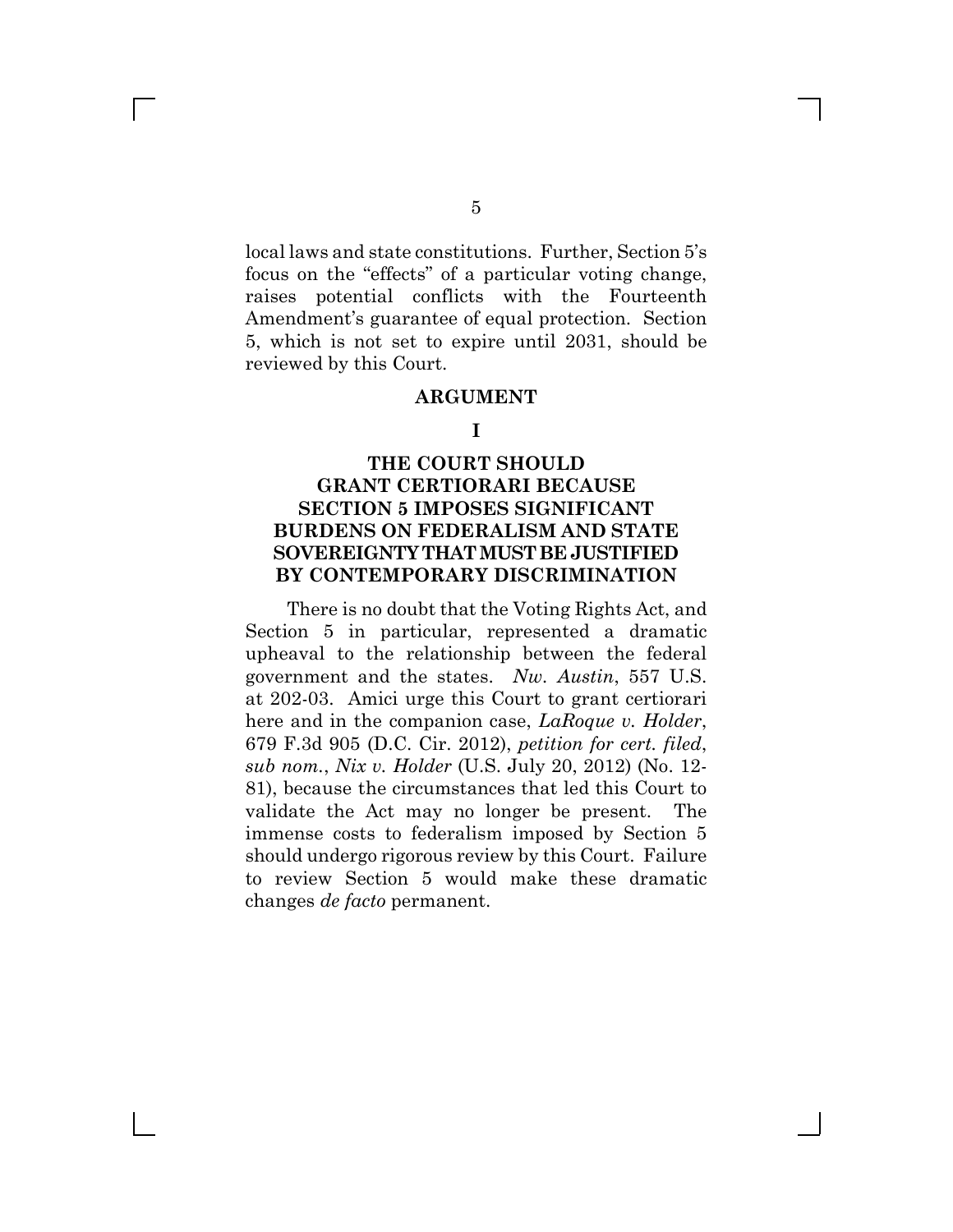local laws and state constitutions. Further, Section 5^s focus on the "effects" of a particular voting change, raises potential conflicts with the Fourteenth Amendment's guarantee of equal protection. Section. 5, which is not set to expire until 2031, should be reviewed by this Court.

#### **ARGUMENT**

#### **I**

## **THE COURT SHOULD GRANT CERTIORARI BECAUSE SECTION 5 IMPOSES SIGNIFICANT BURDENS ON FEDERALISM AND STATE SOVEREIGNTY THAT MUST BE JUSTIFIED BY CONTEMPORARY DISCRIMINATION**

There is no doubt that the Voting Rights Act, and Section 5 in particular, represented a dramatic upheaval to the relationship between the federal government and the states. *Nw. Austin*, 557 U.S. at 202-03. Amici urge this Court to grant certiorari here and in the companion case, *LaRoque v. Holder*, 679 F.3d 905 (D.C. Cir. 2012), *petition for cert. filed*, *sub nom.*, *Nix v. Holder* (U.S. July 20, 2012) (No. 12- 81), because the circumstances that led this Court to validate the Act may no longer be present. The immense costs to federalism imposed by Section 5 should undergo rigorous review by this Court. Failure to review Section 5 would make these dramatic changes *de facto* permanent.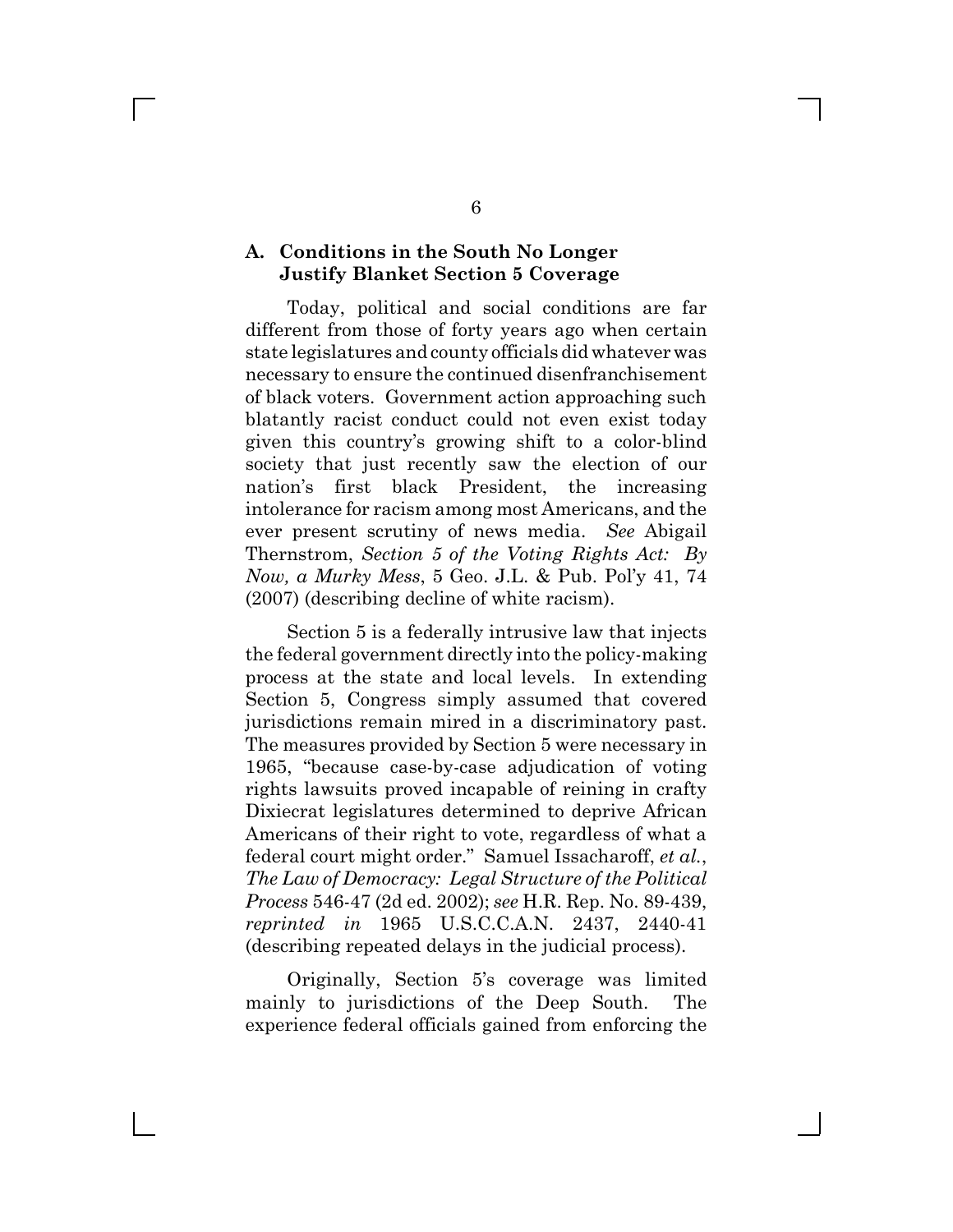#### **A. Conditions in the South No Longer Justify Blanket Section 5 Coverage**

 $\mathbf{L}$ 

Today, political and social conditions are far different from those of forty years ago when certain state legislatures and county officials did whatever was necessary to ensure the continued disenfranchisement of black voters. Government action approaching such blatantly racist conduct could not even exist today given this country^s growing shift to a color-blind society that just recently saw the election of our nation's first black President, the increasing intolerance for racism among most Americans, and the ever present scrutiny of news media. *See* Abigail Thernstrom, *Section 5 of the Voting Rights Act: By Now, a Murky Mess*, 5 Geo. J.L. & Pub. Pol^y 41, 74 (2007) (describing decline of white racism).

Section 5 is a federally intrusive law that injects the federal government directly into the policy-making process at the state and local levels. In extending Section 5, Congress simply assumed that covered jurisdictions remain mired in a discriminatory past. The measures provided by Section 5 were necessary in 1965, "because case-by-case adjudication of voting rights lawsuits proved incapable of reining in crafty Dixiecrat legislatures determined to deprive African Americans of their right to vote, regardless of what a federal court might order." Samuel Issacharoff, *et al.*, *The Law of Democracy: Legal Structure of the Political Process* 546-47 (2d ed. 2002); *see* H.R. Rep. No. 89-439, *reprinted in* 1965 U.S.C.C.A.N. 2437, 2440-41 (describing repeated delays in the judicial process).

Originally, Section 5^s coverage was limited mainly to jurisdictions of the Deep South. The experience federal officials gained from enforcing the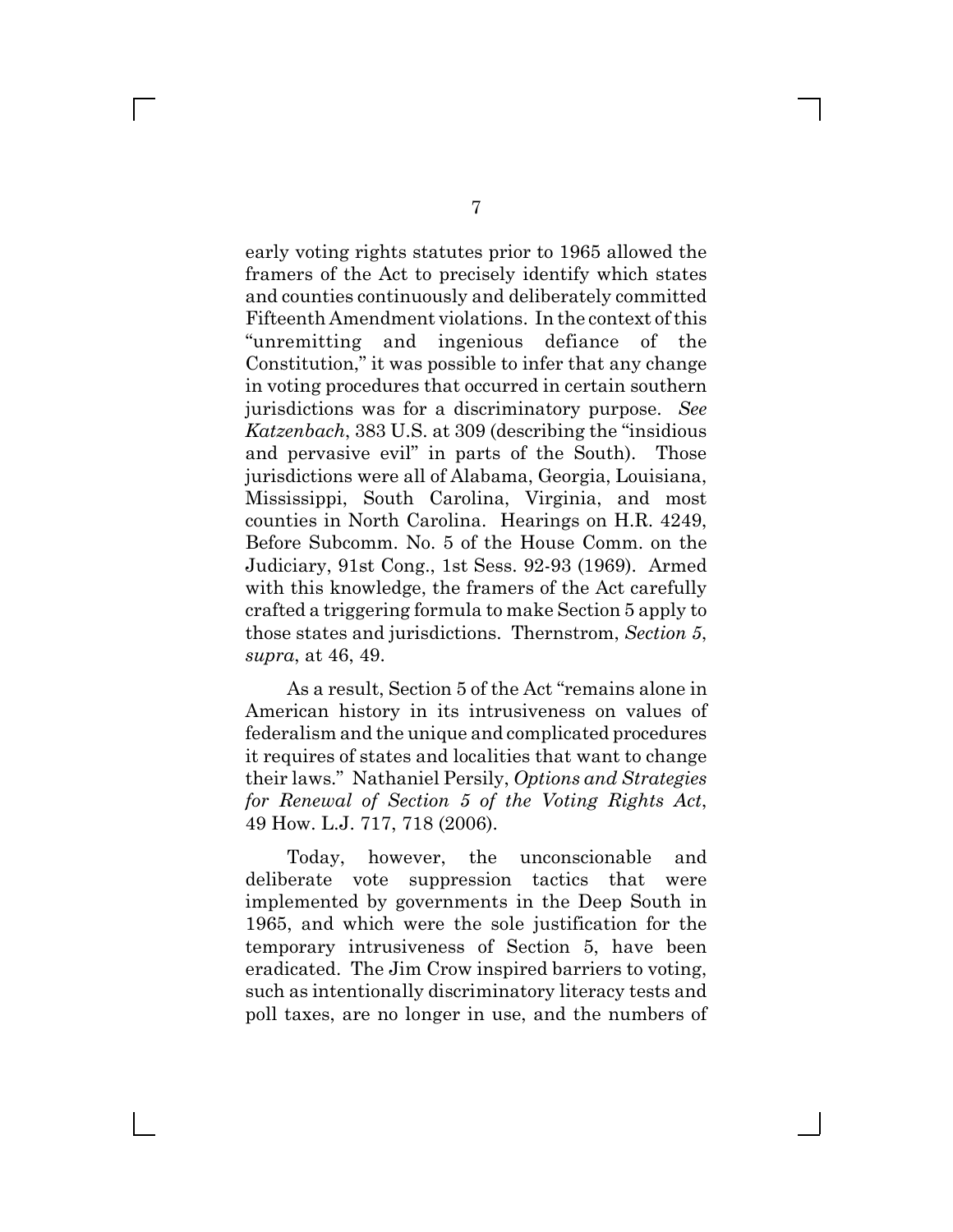early voting rights statutes prior to 1965 allowed the framers of the Act to precisely identify which states and counties continuously and deliberately committed Fifteenth Amendment violations. In the context of this "unremitting and ingenious defiance of the Constitution," it was possible to infer that any change in voting procedures that occurred in certain southern jurisdictions was for a discriminatory purpose. *See Katzenbach*, 383 U.S. at 309 (describing the "insidious" and pervasive evil" in parts of the South). Those jurisdictions were all of Alabama, Georgia, Louisiana, Mississippi, South Carolina, Virginia, and most counties in North Carolina. Hearings on H.R. 4249, Before Subcomm. No. 5 of the House Comm. on the Judiciary, 91st Cong., 1st Sess. 92-93 (1969). Armed with this knowledge, the framers of the Act carefully crafted a triggering formula to make Section 5 apply to those states and jurisdictions. Thernstrom, *Section 5*, *supra*, at 46, 49.

As a result, Section 5 of the Act "remains alone in American history in its intrusiveness on values of federalism and the unique and complicated procedures it requires of states and localities that want to change their laws." Nathaniel Persily, *Options and Strategies for Renewal of Section 5 of the Voting Rights Act*, 49 How. L.J. 717, 718 (2006).

Today, however, the unconscionable and deliberate vote suppression tactics that were implemented by governments in the Deep South in 1965, and which were the sole justification for the temporary intrusiveness of Section 5, have been eradicated. The Jim Crow inspired barriers to voting, such as intentionally discriminatory literacy tests and poll taxes, are no longer in use, and the numbers of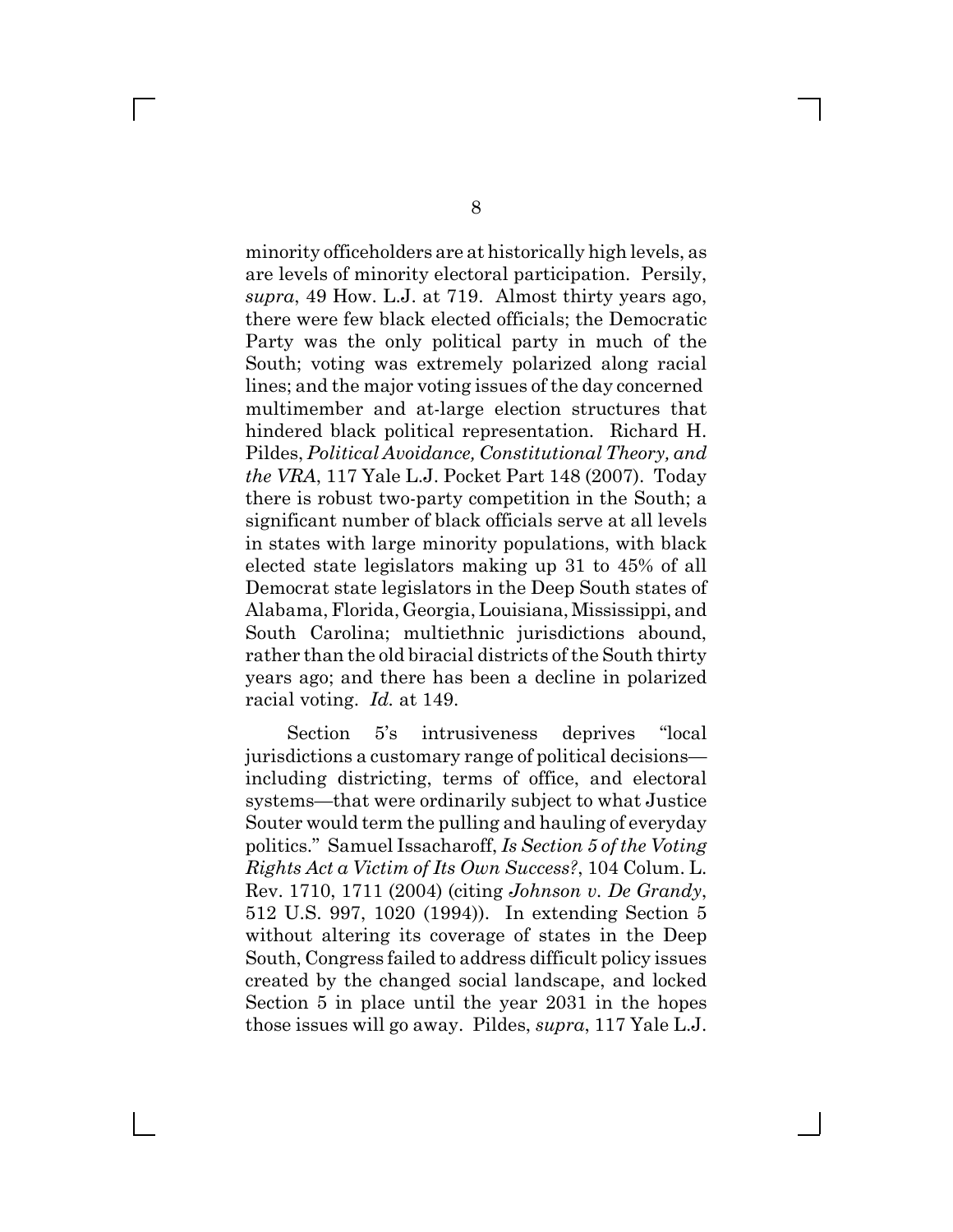minority officeholders are at historically high levels, as are levels of minority electoral participation. Persily, *supra*, 49 How. L.J. at 719. Almost thirty years ago, there were few black elected officials; the Democratic Party was the only political party in much of the South; voting was extremely polarized along racial lines; and the major voting issues of the day concerned multimember and at-large election structures that hindered black political representation. Richard H. Pildes, *Political Avoidance, Constitutional Theory, and the VRA*, 117 Yale L.J. Pocket Part 148 (2007). Today there is robust two-party competition in the South; a significant number of black officials serve at all levels in states with large minority populations, with black elected state legislators making up 31 to 45% of all Democrat state legislators in the Deep South states of Alabama, Florida, Georgia, Louisiana, Mississippi, and South Carolina; multiethnic jurisdictions abound, rather than the old biracial districts of the South thirty years ago; and there has been a decline in polarized racial voting. *Id.* at 149.

Section 5<sup>'</sup>s intrusiveness deprives "local jurisdictions a customary range of political decisions including districting, terms of office, and electoral systems—that were ordinarily subject to what Justice Souter would term the pulling and hauling of everyday politics." Samuel Issacharoff, *Is Section 5 of the Voting Rights Act a Victim of Its Own Success?*, 104 Colum. L. Rev. 1710, 1711 (2004) (citing *Johnson v. De Grandy*, 512 U.S. 997, 1020 (1994)). In extending Section 5 without altering its coverage of states in the Deep South, Congress failed to address difficult policy issues created by the changed social landscape, and locked Section 5 in place until the year 2031 in the hopes those issues will go away. Pildes, *supra*, 117 Yale L.J.

 $\Box$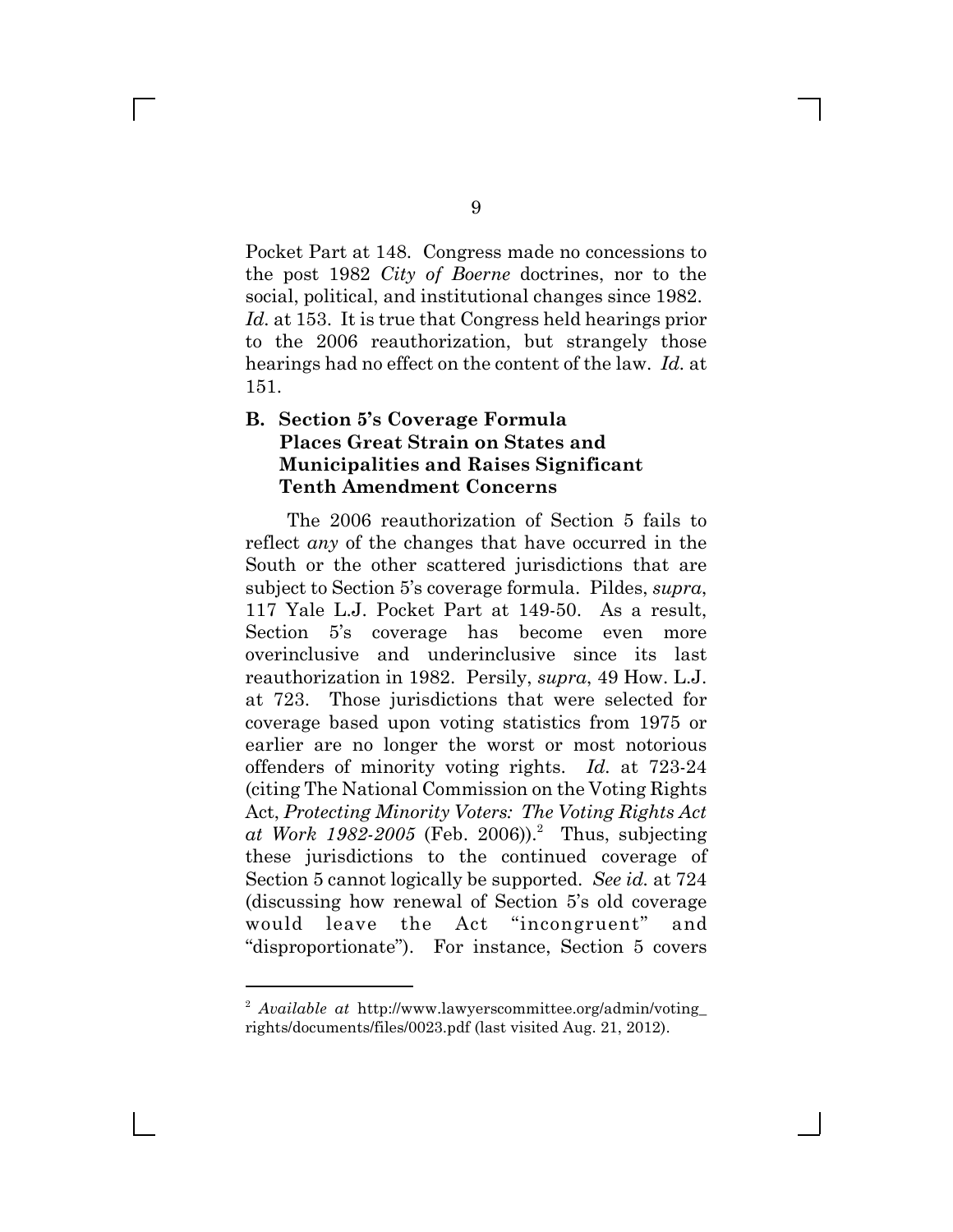Pocket Part at 148. Congress made no concessions to the post 1982 *City of Boerne* doctrines, nor to the social, political, and institutional changes since 1982. *Id.* at 153. It is true that Congress held hearings prior to the 2006 reauthorization, but strangely those hearings had no effect on the content of the law. *Id.* at 151.

### **B.** Section 5's Coverage Formula **Places Great Strain on States and Municipalities and Raises Significant Tenth Amendment Concerns**

The 2006 reauthorization of Section 5 fails to reflect *any* of the changes that have occurred in the South or the other scattered jurisdictions that are subject to Section 5^s coverage formula. Pildes, *supra*, 117 Yale L.J. Pocket Part at 149-50. As a result, Section 5<sup>'</sup>s coverage has become even more overinclusive and underinclusive since its last reauthorization in 1982. Persily, *supra*, 49 How. L.J. at 723. Those jurisdictions that were selected for coverage based upon voting statistics from 1975 or earlier are no longer the worst or most notorious offenders of minority voting rights. *Id.* at 723-24 (citing The National Commission on the Voting Rights Act, *Protecting Minority Voters: The Voting Rights Act* at Work 1982-2005 (Feb. 2006)).<sup>2</sup> Thus, subjecting these jurisdictions to the continued coverage of Section 5 cannot logically be supported. *See id.* at 724 (discussing how renewal of Section 5^s old coverage would leave the Act "incongruent" and "disproportionate"). For instance, Section 5 covers

<sup>2</sup> *Available at* http://www.lawyerscommittee.org/admin/voting\_ rights/documents/files/0023.pdf (last visited Aug. 21, 2012).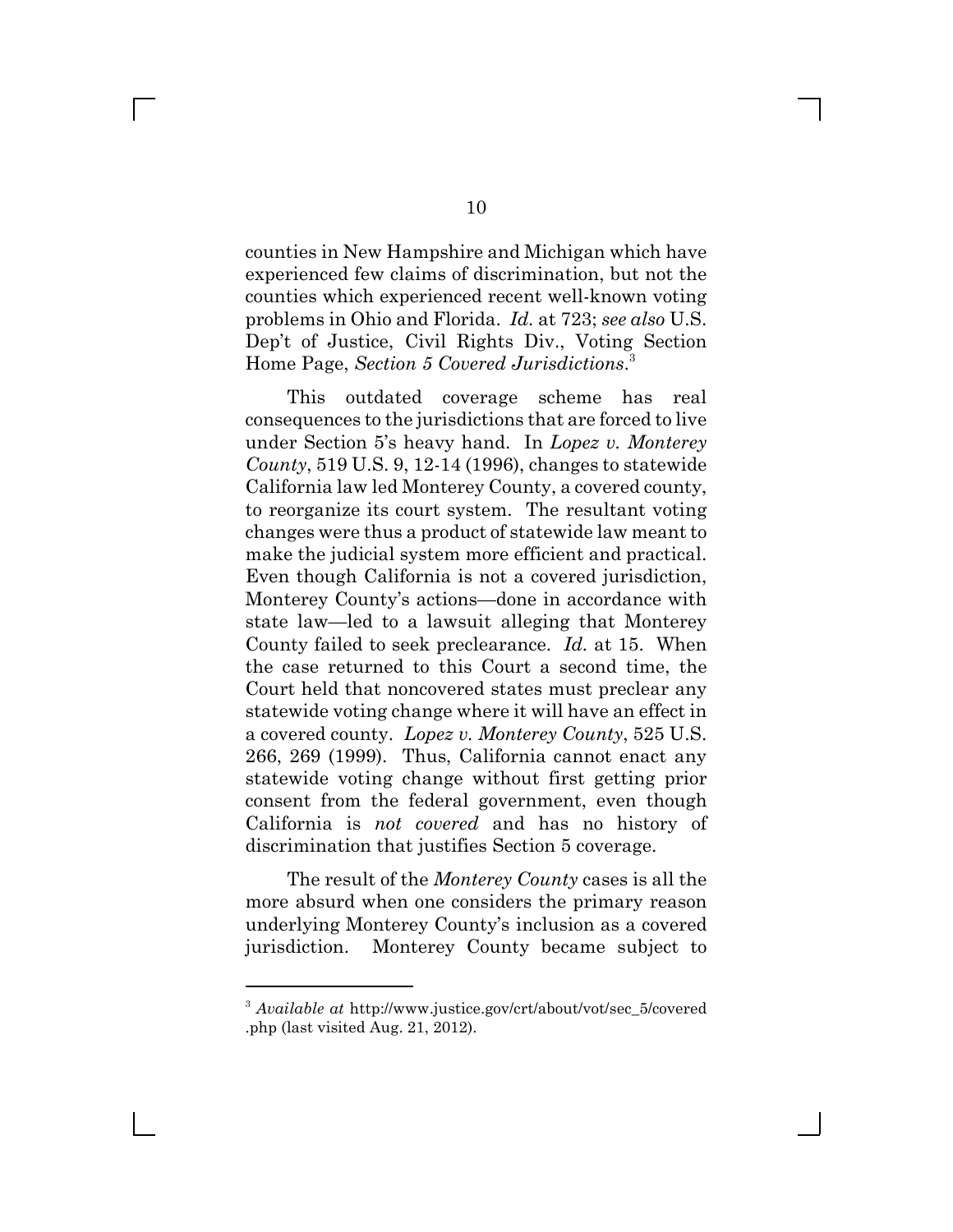counties in New Hampshire and Michigan which have experienced few claims of discrimination, but not the counties which experienced recent well-known voting problems in Ohio and Florida. *Id.* at 723; *see also* U.S. Dep^t of Justice, Civil Rights Div., Voting Section Home Page, *Section 5 Covered Jurisdictions*. 3

This outdated coverage scheme has real consequences to the jurisdictions that are forced to live under Section 5^s heavy hand. In *Lopez v. Monterey County*, 519 U.S. 9, 12-14 (1996), changes to statewide California law led Monterey County, a covered county, to reorganize its court system. The resultant voting changes were thus a product of statewide law meant to make the judicial system more efficient and practical. Even though California is not a covered jurisdiction, Monterey County's actions—done in accordance with state law—led to a lawsuit alleging that Monterey County failed to seek preclearance. *Id.* at 15. When the case returned to this Court a second time, the Court held that noncovered states must preclear any statewide voting change where it will have an effect in a covered county. *Lopez v. Monterey County*, 525 U.S. 266, 269 (1999). Thus, California cannot enact any statewide voting change without first getting prior consent from the federal government, even though California is *not covered* and has no history of discrimination that justifies Section 5 coverage.

The result of the *Monterey County* cases is all the more absurd when one considers the primary reason underlying Monterey County^s inclusion as a covered jurisdiction. Monterey County became subject to

 $\Box$ 

<sup>3</sup> *Available at* http://www.justice.gov/crt/about/vot/sec\_5/covered .php (last visited Aug. 21, 2012).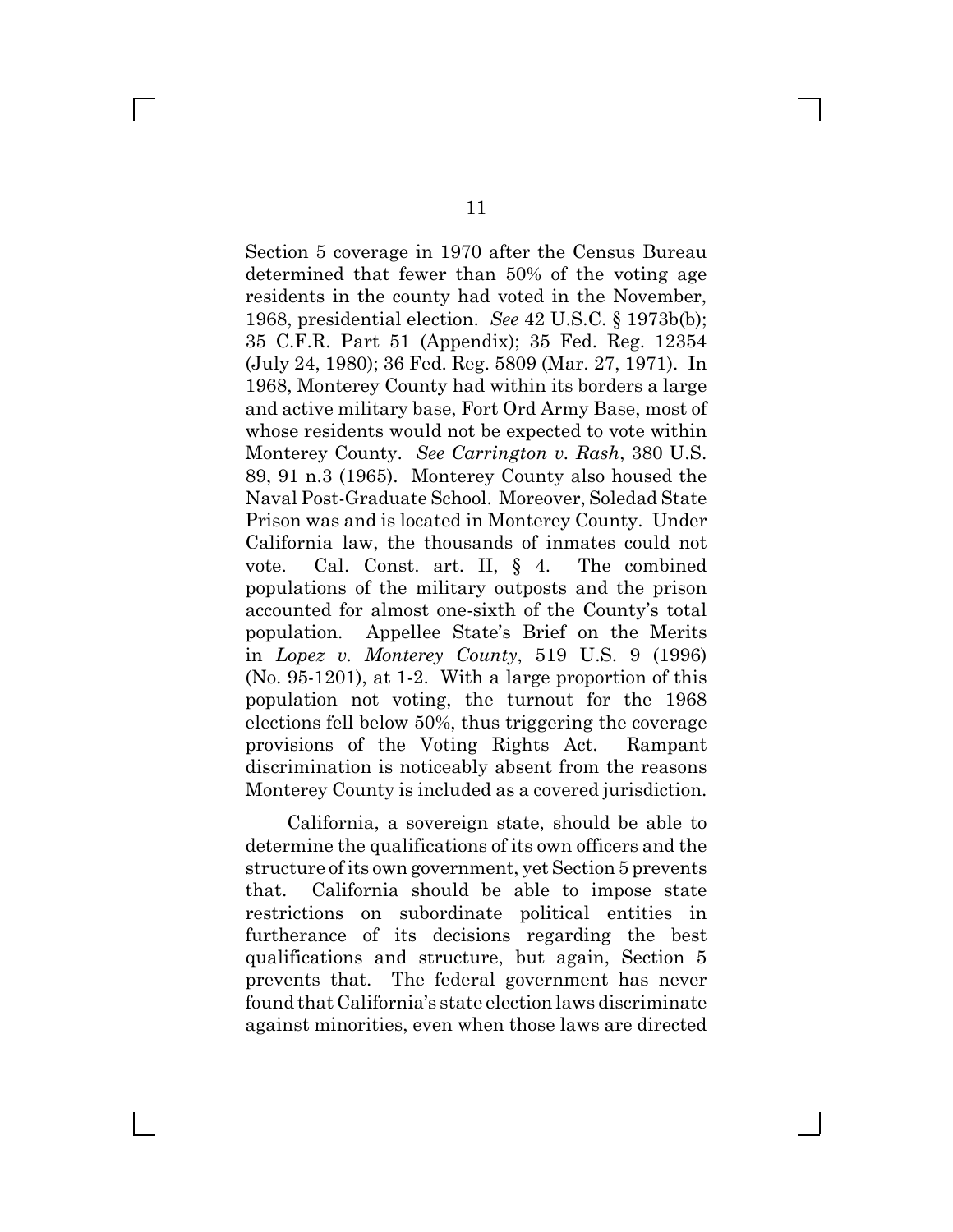Section 5 coverage in 1970 after the Census Bureau determined that fewer than 50% of the voting age residents in the county had voted in the November, 1968, presidential election. *See* 42 U.S.C. § 1973b(b); 35 C.F.R. Part 51 (Appendix); 35 Fed. Reg. 12354 (July 24, 1980); 36 Fed. Reg. 5809 (Mar. 27, 1971). In 1968, Monterey County had within its borders a large and active military base, Fort Ord Army Base, most of whose residents would not be expected to vote within Monterey County. *See Carrington v. Rash*, 380 U.S. 89, 91 n.3 (1965). Monterey County also housed the Naval Post-Graduate School. Moreover, Soledad State Prison was and is located in Monterey County. Under California law, the thousands of inmates could not vote. Cal. Const. art. II, § 4. The combined populations of the military outposts and the prison accounted for almost one-sixth of the County^s total population. Appellee State^s Brief on the Merits in *Lopez v. Monterey County*, 519 U.S. 9 (1996) (No. 95-1201), at 1-2. With a large proportion of this population not voting, the turnout for the 1968 elections fell below 50%, thus triggering the coverage provisions of the Voting Rights Act. Rampant discrimination is noticeably absent from the reasons Monterey County is included as a covered jurisdiction.

California, a sovereign state, should be able to determine the qualifications of its own officers and the structure of its own government, yet Section 5 prevents that. California should be able to impose state restrictions on subordinate political entities in furtherance of its decisions regarding the best qualifications and structure, but again, Section 5 prevents that. The federal government has never found that California^s state election laws discriminate against minorities, even when those laws are directed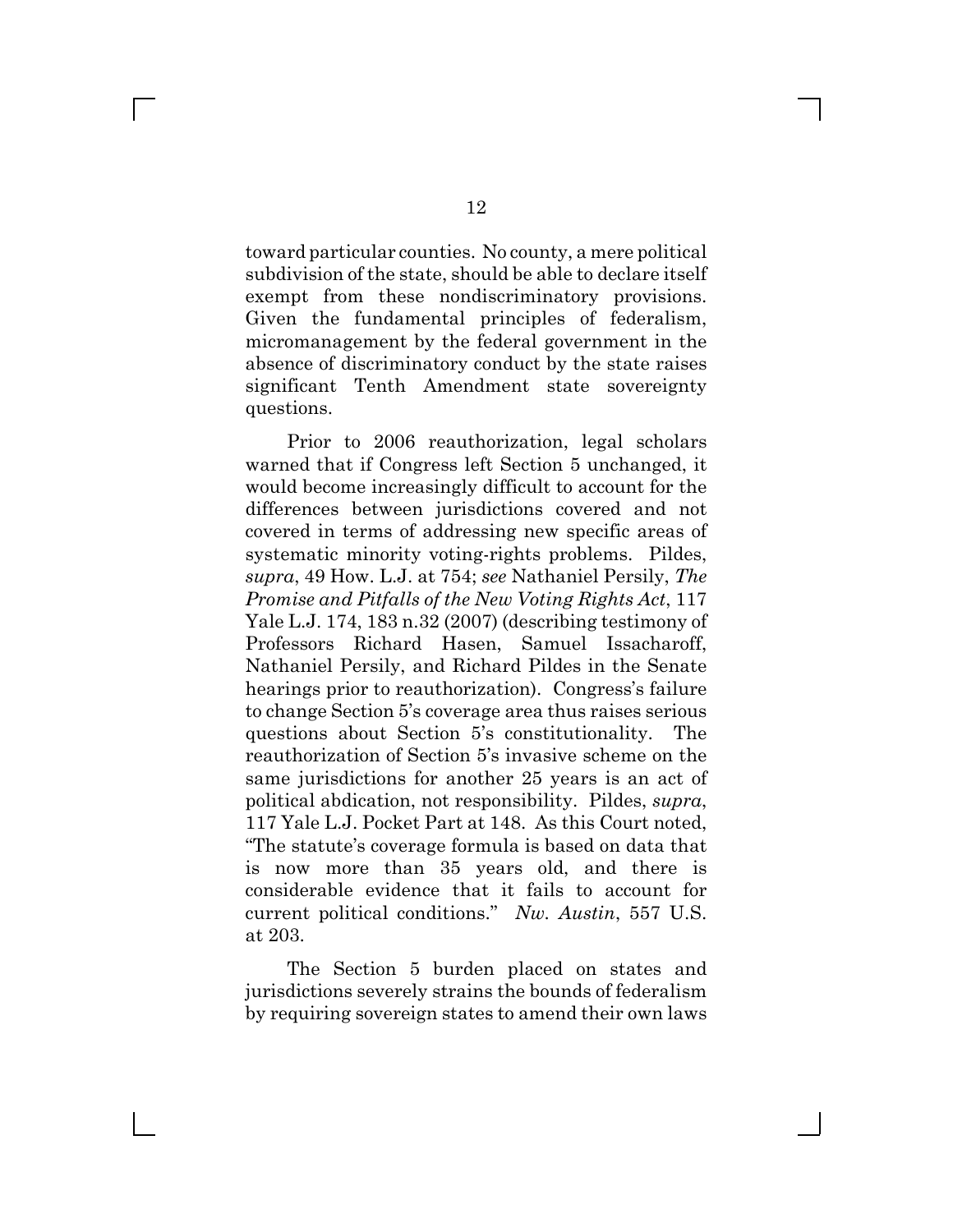toward particular counties. No county, a mere political subdivision of the state, should be able to declare itself exempt from these nondiscriminatory provisions. Given the fundamental principles of federalism, micromanagement by the federal government in the absence of discriminatory conduct by the state raises significant Tenth Amendment state sovereignty questions.

Prior to 2006 reauthorization, legal scholars warned that if Congress left Section 5 unchanged, it would become increasingly difficult to account for the differences between jurisdictions covered and not covered in terms of addressing new specific areas of systematic minority voting-rights problems. Pildes, *supra*, 49 How. L.J. at 754; *see* Nathaniel Persily, *The Promise and Pitfalls of the New Voting Rights Act*, 117 Yale L.J. 174, 183 n.32 (2007) (describing testimony of Professors Richard Hasen, Samuel Issacharoff, Nathaniel Persily, and Richard Pildes in the Senate hearings prior to reauthorization). Congress's failure to change Section 5^s coverage area thus raises serious questions about Section 5^s constitutionality. The reauthorization of Section 5^s invasive scheme on the same jurisdictions for another 25 years is an act of political abdication, not responsibility. Pildes, *supra*, 117 Yale L.J. Pocket Part at 148. As this Court noted, "The statute's coverage formula is based on data that is now more than 35 years old, and there is considerable evidence that it fails to account for current political conditions." Nw. Austin, 557 U.S. at 203.

The Section 5 burden placed on states and jurisdictions severely strains the bounds of federalism by requiring sovereign states to amend their own laws

 $\Box$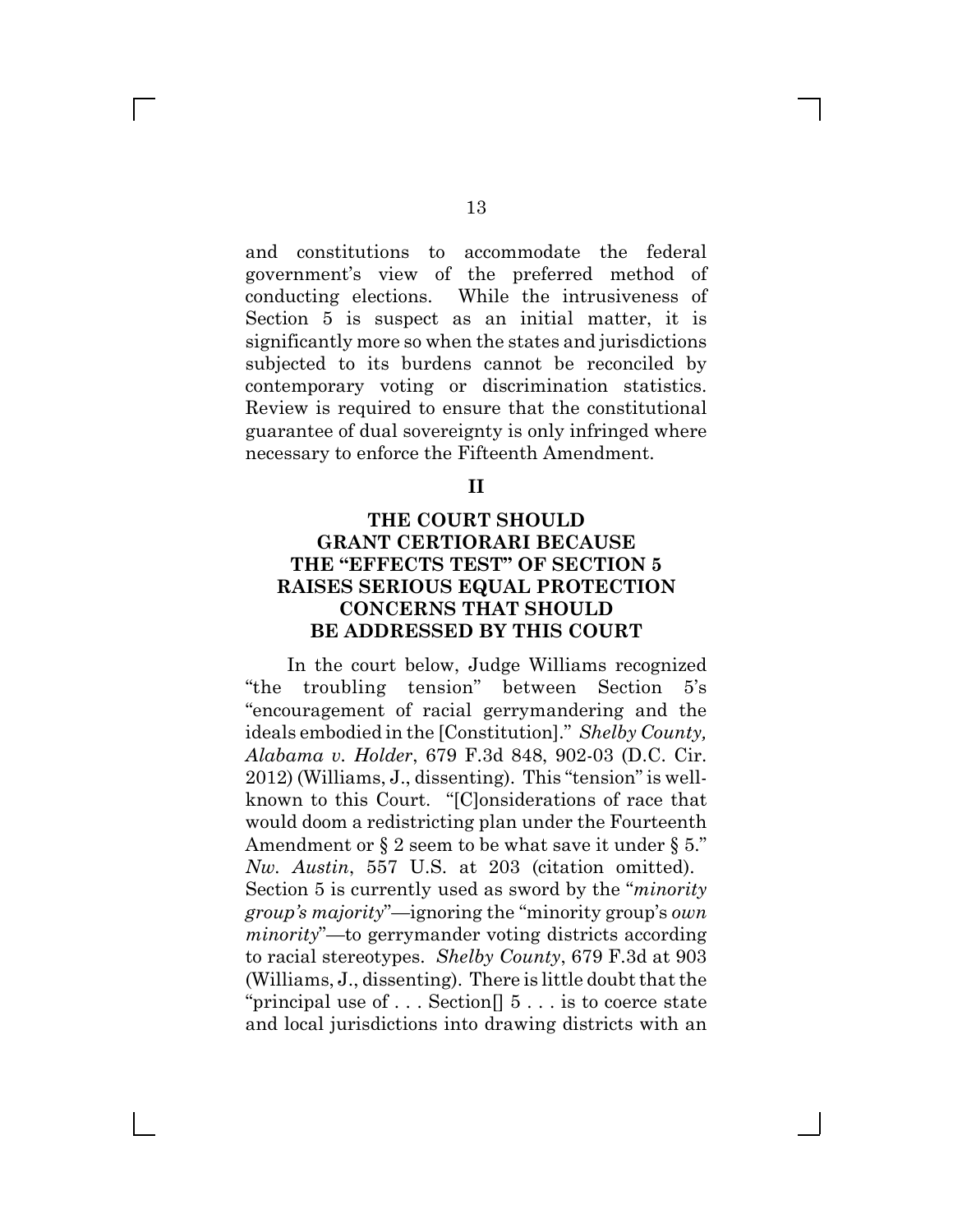and constitutions to accommodate the federal government^s view of the preferred method of conducting elections. While the intrusiveness of Section 5 is suspect as an initial matter, it is significantly more so when the states and jurisdictions subjected to its burdens cannot be reconciled by contemporary voting or discrimination statistics. Review is required to ensure that the constitutional guarantee of dual sovereignty is only infringed where necessary to enforce the Fifteenth Amendment.

**II**

### **THE COURT SHOULD GRANT CERTIORARI BECAUSE** THE "EFFECTS TEST" OF SECTION 5 **RAISES SERIOUS EQUAL PROTECTION CONCERNS THAT SHOULD BE ADDRESSED BY THIS COURT**

In the court below, Judge Williams recognized "the troubling tension" between Section  $5^{\prime}s$ "encouragement of racial gerrymandering and the ideals embodied in the [Constitution]." *Shelby County*, *Alabama v. Holder*, 679 F.3d 848, 902-03 (D.C. Cir.  $2012$ ) (Williams, J., dissenting). This "tension" is wellknown to this Court. "[C]onsiderations of race that would doom a redistricting plan under the Fourteenth Amendment or  $\S 2$  seem to be what save it under  $\S 5$ ." *Nw. Austin*, 557 U.S. at 203 (citation omitted). Section 5 is currently used as sword by the "*minority group's majority*"—ignoring the "minority group's *own minority*"—to gerrymander voting districts according to racial stereotypes. *Shelby County*, 679 F.3d at 903 (Williams, J., dissenting). There is little doubt that the "principal use of  $\dots$  Section  $\vert\vert 5 \dots$  is to coerce state and local jurisdictions into drawing districts with an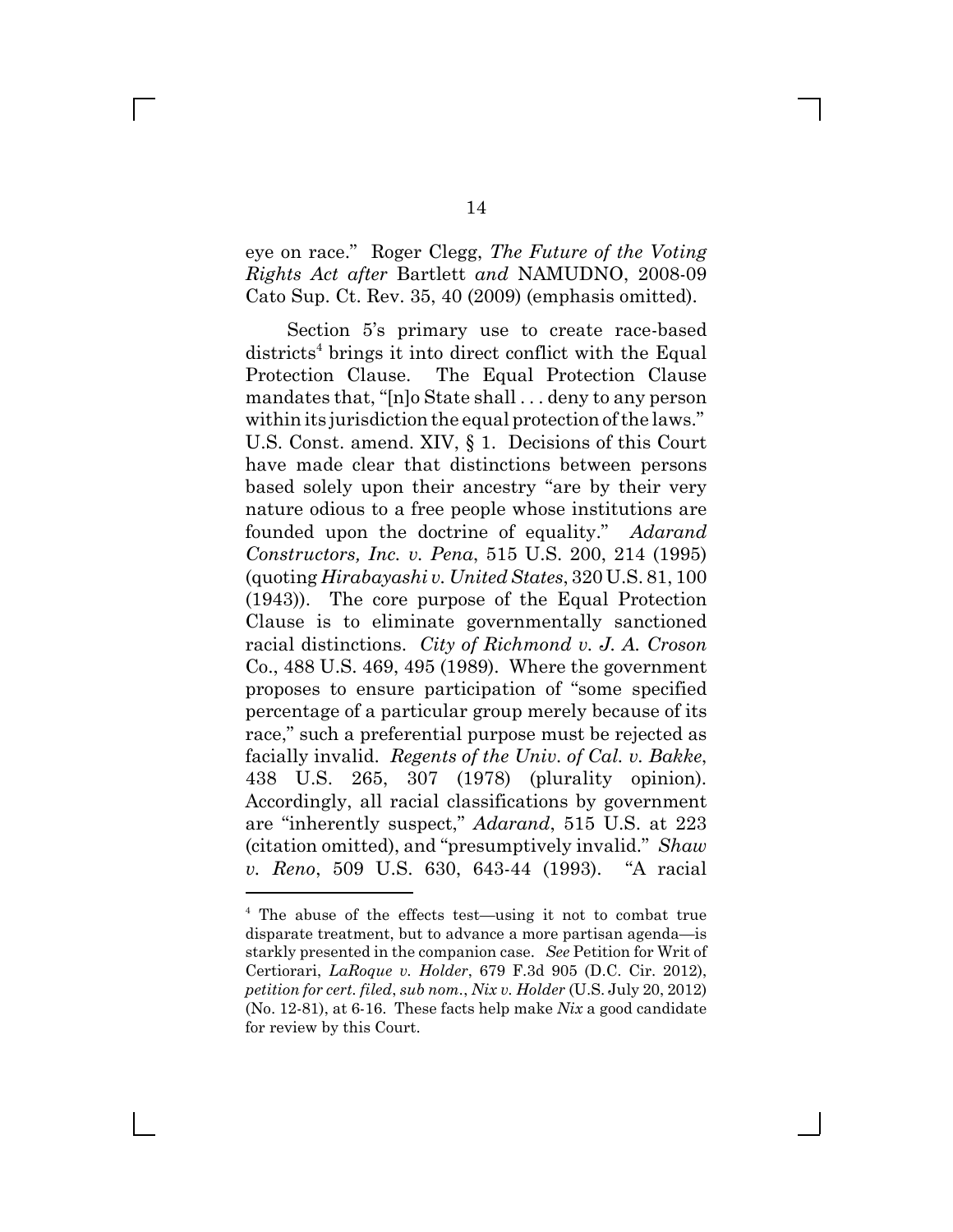eye on race." Roger Clegg, *The Future of the Voting Rights Act after* Bartlett *and* NAMUDNO, 2008-09 Cato Sup. Ct. Rev. 35, 40 (2009) (emphasis omitted).

Section 5<sup>'s</sup> primary use to create race-based districts<sup>4</sup> brings it into direct conflict with the Equal Protection Clause. The Equal Protection Clause mandates that, " $[n]$ o State shall . . . deny to any person within its jurisdiction the equal protection of the laws." U.S. Const. amend. XIV, § 1. Decisions of this Court have made clear that distinctions between persons based solely upon their ancestry "are by their very nature odious to a free people whose institutions are founded upon the doctrine of equality." Adarand *Constructors, Inc. v. Pena*, 515 U.S. 200, 214 (1995) (quoting *Hirabayashi v. United States*, 320 U.S. 81, 100 (1943)). The core purpose of the Equal Protection Clause is to eliminate governmentally sanctioned racial distinctions. *City of Richmond v. J. A. Croson* Co., 488 U.S. 469, 495 (1989). Where the government proposes to ensure participation of "some specified" percentage of a particular group merely because of its race," such a preferential purpose must be rejected as facially invalid. *Regents of the Univ. of Cal. v. Bakke*, 438 U.S. 265, 307 (1978) (plurality opinion). Accordingly, all racial classifications by government are "inherently suspect," *Adarand*, 515 U.S. at 223 (citation omitted), and "presumptively invalid." Shaw *v. Reno*, 509 U.S. 630, 643-44 (1993). "A racial

<sup>&</sup>lt;sup>4</sup> The abuse of the effects test—using it not to combat true disparate treatment, but to advance a more partisan agenda—is starkly presented in the companion case. *See* Petition for Writ of Certiorari, *LaRoque v. Holder*, 679 F.3d 905 (D.C. Cir. 2012), *petition for cert. filed*, *sub nom.*, *Nix v. Holder* (U.S. July 20, 2012) (No. 12-81), at 6-16. These facts help make *Nix* a good candidate for review by this Court.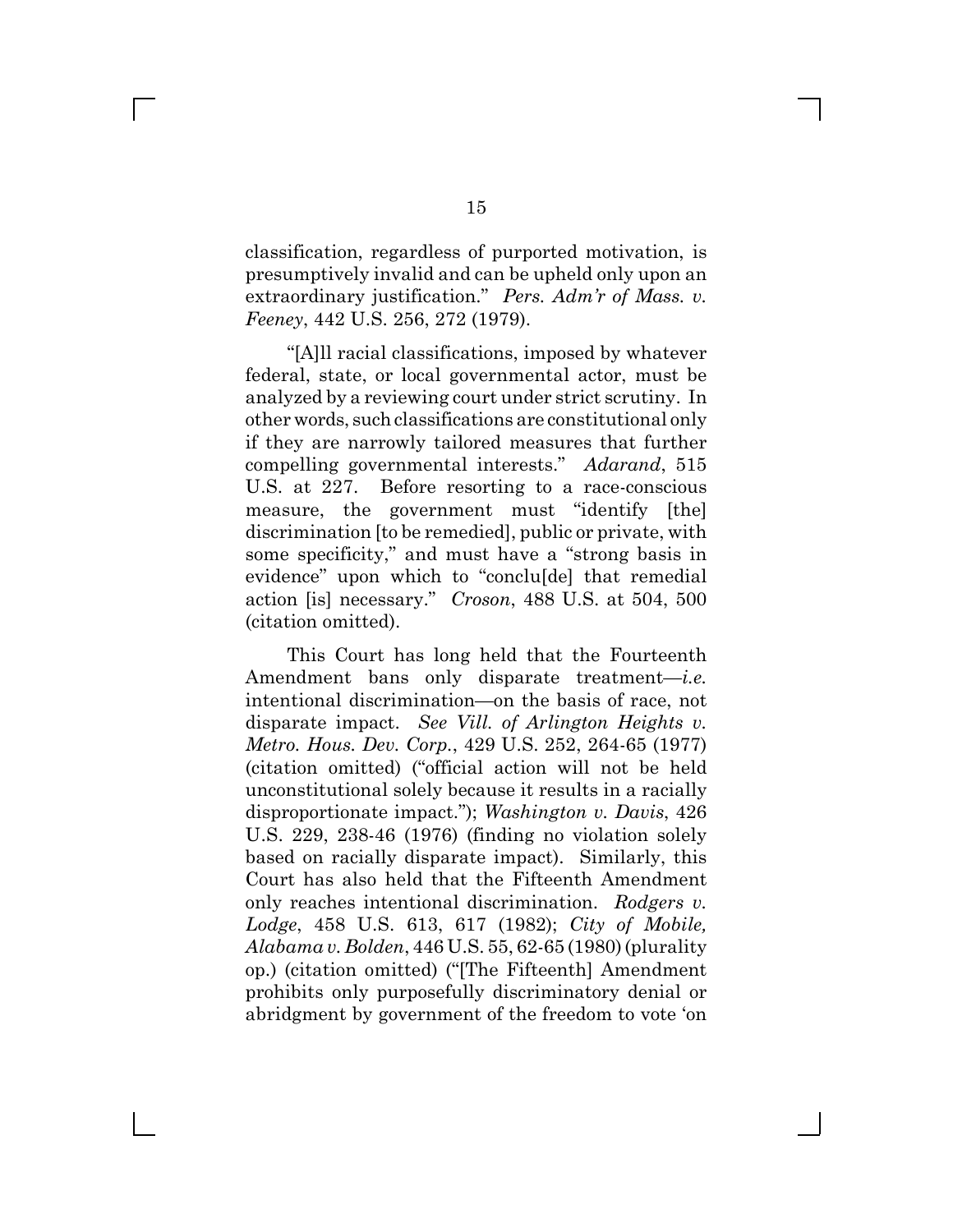classification, regardless of purported motivation, is presumptively invalid and can be upheld only upon an extraordinary justification." Pers. Adm'r of Mass. v. *Feeney*, 442 U.S. 256, 272 (1979).

"[A]ll racial classifications, imposed by whatever federal, state, or local governmental actor, must be analyzed by a reviewing court under strict scrutiny. In other words, such classifications are constitutional only if they are narrowly tailored measures that further compelling governmental interests." *Adarand*, 515 U.S. at 227. Before resorting to a race-conscious measure, the government must "identify [the] discrimination [to be remedied], public or private, with some specificity," and must have a "strong basis in evidence" upon which to "conclusel that remedial action [is] necessary." *Croson*, 488 U.S. at 504, 500 (citation omitted).

This Court has long held that the Fourteenth Amendment bans only disparate treatment-*i.e.* intentional discrimination—on the basis of race, not disparate impact. *See Vill. of Arlington Heights v. Metro. Hous. Dev. Corp.*, 429 U.S. 252, 264-65 (1977) (citation omitted) ("official action will not be held unconstitutional solely because it results in a racially disproportionate impact."); *Washington v. Davis*, 426 U.S. 229, 238-46 (1976) (finding no violation solely based on racially disparate impact). Similarly, this Court has also held that the Fifteenth Amendment only reaches intentional discrimination. *Rodgers v. Lodge*, 458 U.S. 613, 617 (1982); *City of Mobile, Alabama v. Bolden*, 446 U.S. 55, 62-65 (1980) (plurality op.) (citation omitted) ("The Fifteenth] Amendment prohibits only purposefully discriminatory denial or abridgment by government of the freedom to vote 'on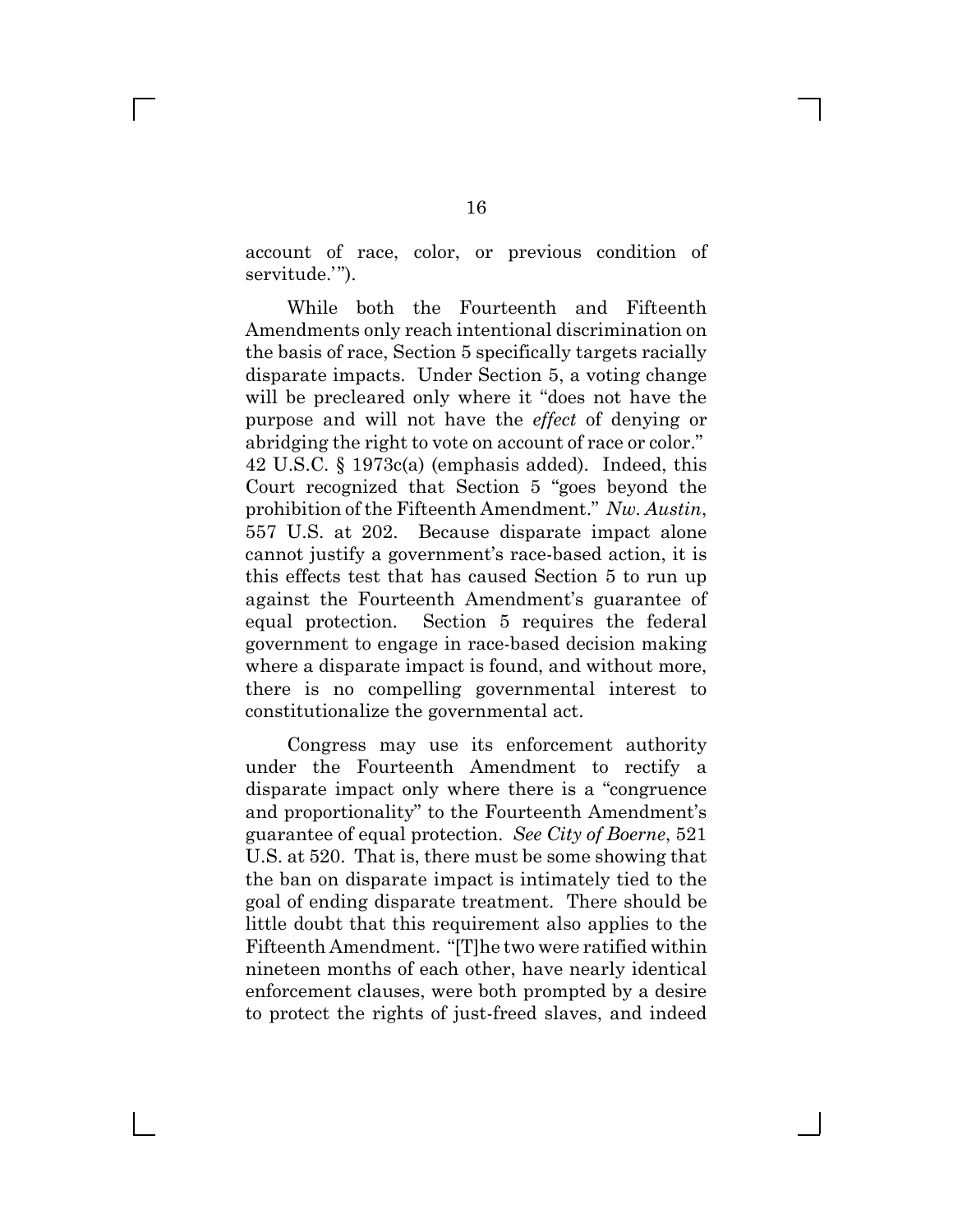account of race, color, or previous condition of servitude.'").

While both the Fourteenth and Fifteenth Amendments only reach intentional discrimination on the basis of race, Section 5 specifically targets racially disparate impacts. Under Section 5, a voting change will be precleared only where it "does not have the purpose and will not have the *effect* of denying or abridging the right to vote on account of race or color." 42 U.S.C. § 1973c(a) (emphasis added). Indeed, this Court recognized that Section  $5$  "goes beyond the prohibition of the Fifteenth Amendment." Nw. Austin, 557 U.S. at 202. Because disparate impact alone cannot justify a government^s race-based action, it is this effects test that has caused Section 5 to run up against the Fourteenth Amendment^s guarantee of equal protection. Section 5 requires the federal government to engage in race-based decision making where a disparate impact is found, and without more, there is no compelling governmental interest to constitutionalize the governmental act.

Congress may use its enforcement authority under the Fourteenth Amendment to rectify a disparate impact only where there is a "congruence" and proportionality" to the Fourteenth Amendment's guarantee of equal protection. *See City of Boerne*, 521 U.S. at 520. That is, there must be some showing that the ban on disparate impact is intimately tied to the goal of ending disparate treatment. There should be little doubt that this requirement also applies to the Fifteenth Amendment. "[T]he two were ratified within nineteen months of each other, have nearly identical enforcement clauses, were both prompted by a desire to protect the rights of just-freed slaves, and indeed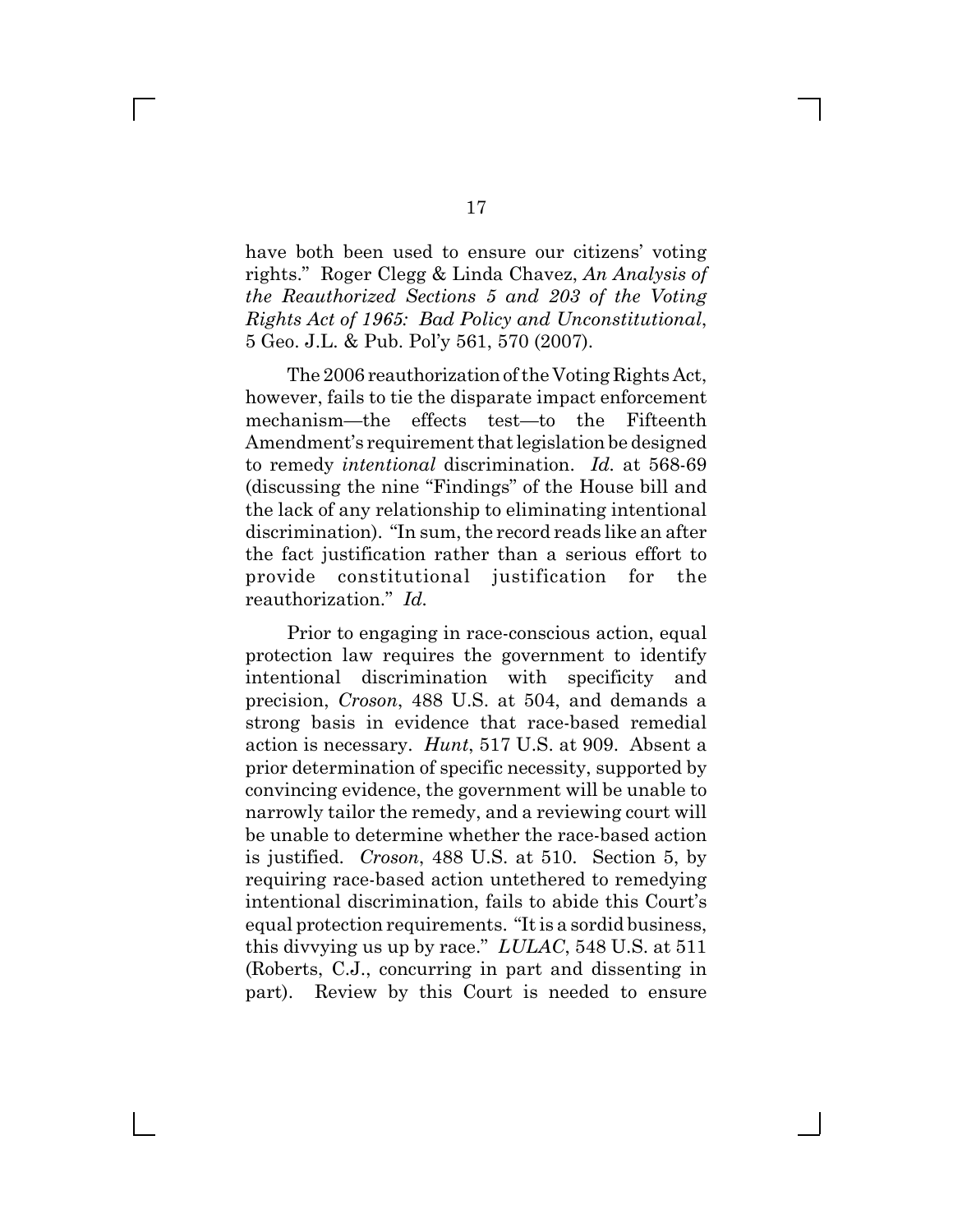have both been used to ensure our citizens' voting rights." Roger Clegg & Linda Chavez, *An Analysis of the Reauthorized Sections 5 and 203 of the Voting Rights Act of 1965: Bad Policy and Unconstitutional*, 5 Geo. J.L. & Pub. Pol^y 561, 570 (2007).

The 2006 reauthorization of the Voting Rights Act, however, fails to tie the disparate impact enforcement mechanism—the effects test—to the Fifteenth Amendment's requirement that legislation be designed to remedy *intentional* discrimination. *Id.* at 568-69 (discussing the nine "Findings" of the House bill and the lack of any relationship to eliminating intentional discrimination). "In sum, the record reads like an after the fact justification rather than a serious effort to provide constitutional justification for the reauthorization." *Id.* 

Prior to engaging in race-conscious action, equal protection law requires the government to identify intentional discrimination with specificity and precision, *Croson*, 488 U.S. at 504, and demands a strong basis in evidence that race-based remedial action is necessary. *Hunt*, 517 U.S. at 909. Absent a prior determination of specific necessity, supported by convincing evidence, the government will be unable to narrowly tailor the remedy, and a reviewing court will be unable to determine whether the race-based action is justified. *Croson*, 488 U.S. at 510. Section 5, by requiring race-based action untethered to remedying intentional discrimination, fails to abide this Court^s equal protection requirements. "It is a sordid business, this divvying us up by race."  $LULAC$ , 548 U.S. at 511 (Roberts, C.J., concurring in part and dissenting in part). Review by this Court is needed to ensure